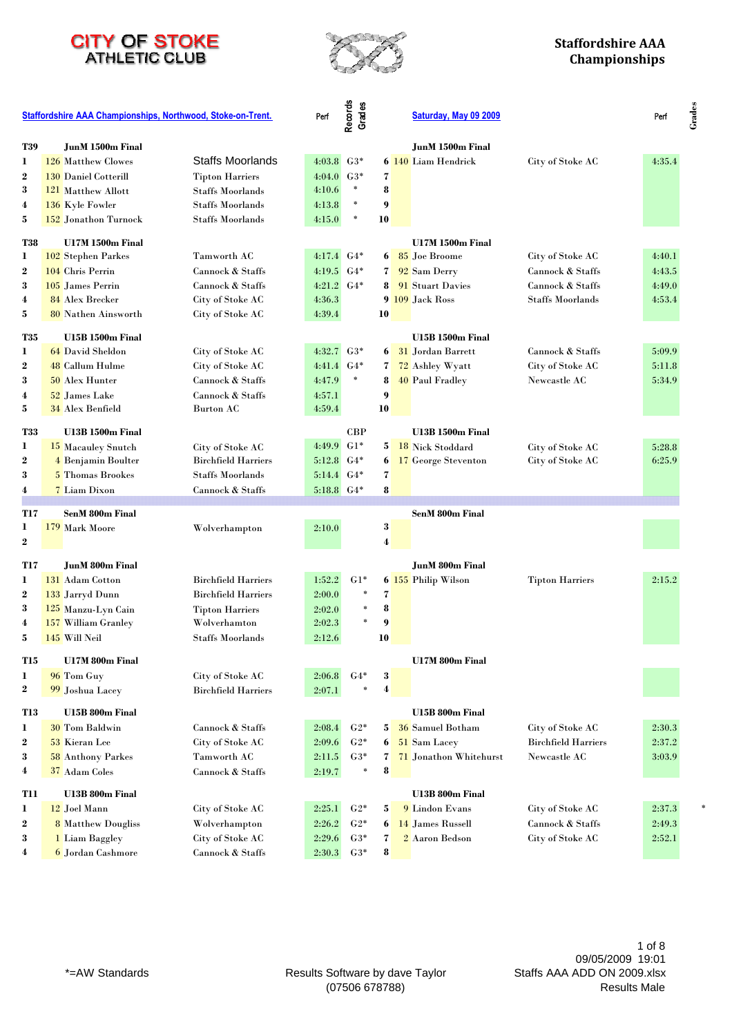



|                  | <b>Staffordshire AAA Championships, Northwood, Stoke-on-Trent.</b> |                            | Perf           | Records<br>Grades |                         | Saturday, May 09 2009             |                            | Perf   |
|------------------|--------------------------------------------------------------------|----------------------------|----------------|-------------------|-------------------------|-----------------------------------|----------------------------|--------|
| <b>T39</b>       | JunM 1500m Final                                                   |                            |                |                   |                         | JunM 1500m Final                  |                            |        |
| 1                | 126 Matthew Clowes                                                 | Staffs Moorlands           | 4:03.8         | $G3*$             |                         | 6 140 Liam Hendrick               | City of Stoke AC           | 4:35.4 |
| $\boldsymbol{2}$ | <b>130 Daniel Cotterill</b>                                        | <b>Tipton Harriers</b>     | 4:04.0         | $G3*$             | 7                       |                                   |                            |        |
| 3                | 121 Matthew Allott                                                 | <b>Staffs Moorlands</b>    | 4:10.6         | $\ast$            | 8                       |                                   |                            |        |
| $\overline{4}$   | 136 Kyle Fowler                                                    | <b>Staffs Moorlands</b>    | 4:13.8         | $\ast$            | 9                       |                                   |                            |        |
| 5                | 152 Jonathon Turnock                                               | <b>Staffs Moorlands</b>    | 4:15.0         | $\ast$            | 10                      |                                   |                            |        |
| <b>T38</b>       | <b>U17M 1500m Final</b>                                            |                            |                |                   |                         | <b>U17M 1500m Final</b>           |                            |        |
| 1                | 102 Stephen Parkes                                                 | Tamworth AC                | $4:17.4$ $G4*$ |                   | 6                       | 85 Joe Broome                     | City of Stoke AC           | 4:40.1 |
| 2                | 104 Chris Perrin                                                   | Cannock & Staffs           | 4:19.5         | $G4*$             | $\overline{\mathbf{z}}$ | 92 Sam Derry                      | Cannock & Staffs           | 4:43.5 |
| 3                | 105 James Perrin                                                   | Cannock & Staffs           | 4:21.2         | $G4*$             | 8                       | 91 Stuart Davies                  | Cannock & Staffs           | 4:49.0 |
| 4                | 84 Alex Brecker                                                    | City of Stoke AC           | 4:36.3         |                   |                         | 9 109 Jack Ross                   | <b>Staffs Moorlands</b>    | 4:53.4 |
| 5                | 80 Nathen Ainsworth                                                | City of Stoke AC           | 4:39.4         |                   | 10                      |                                   |                            |        |
| <b>T35</b>       | <b>U15B 1500m Final</b>                                            |                            |                |                   |                         | <b>U15B 1500m Final</b>           |                            |        |
| 1                | 64 David Sheldon                                                   | City of Stoke AC           | 4:32.7         | $G3*$             | 6                       | 31 Jordan Barrett                 | Cannock & Staffs           | 5:09.9 |
| $\boldsymbol{2}$ | 48 Callum Hulme                                                    | City of Stoke AC           | 4:41.4         | $G4*$             | 7                       | 72 Ashley Wyatt                   | City of Stoke AC           | 5:11.8 |
| 3                | 50 Alex Hunter                                                     | Cannock & Staffs           | 4:47.9         | $\ast$            | 8                       | 40 Paul Fradley                   | Newcastle AC               | 5:34.9 |
| 4                | 52 James Lake                                                      | Cannock & Staffs           | 4:57.1         |                   | 9                       |                                   |                            |        |
| 5                | 34 Alex Benfield                                                   | <b>Burton AC</b>           | 4:59.4         |                   | 10                      |                                   |                            |        |
| <b>T33</b>       | <b>U13B 1500m Final</b>                                            |                            |                | <b>CBP</b>        |                         | <b>U13B 1500m Final</b>           |                            |        |
| 1                | 15 Macauley Snutch                                                 | City of Stoke AC           | 4:49.9         | $G1*$             | 5                       | 18 Nick Stoddard                  | City of Stoke AC           | 5:28.8 |
| $\boldsymbol{2}$ | 4 Benjamin Boulter                                                 | <b>Birchfield Harriers</b> | 5:12.8         | $G4*$             | 6                       | 17 George Steventon               | City of Stoke AC           | 6:25.9 |
| 3                | 5 Thomas Brookes                                                   | <b>Staffs Moorlands</b>    | $5:14.4$ $G4*$ |                   | 7                       |                                   |                            |        |
| 4                | 7 Liam Dixon                                                       | Cannock & Staffs           | 5:18.8 G4*     |                   | 8                       |                                   |                            |        |
|                  |                                                                    |                            |                |                   |                         |                                   |                            |        |
| <b>T17</b>       | <b>SenM 800m Final</b>                                             |                            |                |                   |                         | <b>SenM 800m Final</b>            |                            |        |
| 1                | 179 Mark Moore                                                     | Wolverhampton              | 2:10.0         |                   | 3                       |                                   |                            |        |
| $\boldsymbol{2}$ |                                                                    |                            |                |                   | 4                       |                                   |                            |        |
| <b>T17</b>       | <b>JunM 800m Final</b>                                             |                            |                |                   |                         | <b>JunM 800m Final</b>            |                            |        |
| 1                | 131 Adam Cotton                                                    | <b>Birchfield Harriers</b> | 1:52.2         | $G1*$             |                         | 6 155 Philip Wilson               | <b>Tipton Harriers</b>     | 2:15.2 |
| $\boldsymbol{2}$ | 133 Jarryd Dunn                                                    | <b>Birchfield Harriers</b> | 2:00.0         | ×,                | 7                       |                                   |                            |        |
| 3                | 125 Manzu-Lyn Cain                                                 | <b>Tipton Harriers</b>     | 2:02.0         |                   | 8                       |                                   |                            |        |
| 4                | 157 William Granley                                                | Wolverhamton               | 2:02.3         |                   | 9                       |                                   |                            |        |
| 5                | 145 Will Neil                                                      | <b>Staffs Moorlands</b>    | 2:12.6         |                   | 10                      |                                   |                            |        |
| <b>T15</b>       | U17M 800m Final                                                    |                            |                |                   |                         | U17M 800m Final                   |                            |        |
| 1                | 96 Tom Guy                                                         | City of Stoke AC           | 2:06.8         | $G4*$             | 3                       |                                   |                            |        |
| $\bf{2}$         | 99 Joshua Lacey                                                    | <b>Birchfield Harriers</b> | 2:07.1         | $\ast$            | 4                       |                                   |                            |        |
| <b>T13</b>       | U15B 800m Final                                                    |                            |                |                   |                         | U15B 800m Final                   |                            |        |
| 1                | 30 Tom Baldwin                                                     | Cannock & Staffs           | 2:08.4         | $G2*$             | $5\vert$                | 36 Samuel Botham                  | City of Stoke AC           | 2:30.3 |
| $\boldsymbol{2}$ | 53 Kieran Lee                                                      | City of Stoke AC           | 2:09.6         | $G2*$             | 6                       | 51 Sam Lacey                      | <b>Birchfield Harriers</b> | 2:37.2 |
| 3                | <b>58 Anthony Parkes</b>                                           | Tamworth AC                | 2:11.5         | $G3*$             | $\mathbf{7}$            | 71 Jonathon Whitehurst            | Newcastle AC               | 3:03.9 |
| 4                | 37 Adam Coles                                                      | Cannock & Staffs           | 2:19.7         | $\ast$            | 8                       |                                   |                            |        |
|                  |                                                                    |                            |                |                   |                         |                                   |                            |        |
| T11<br>1         | U13B 800m Final<br>12 Joel Mann                                    | City of Stoke AC           | 2:25.1         | $G2*$             | 5                       | U13B 800m Final<br>9 Lindon Evans | City of Stoke AC           | 2:37.3 |
|                  |                                                                    | Wolverhampton              | 2:26.2         | $G2*$             |                         | 14 James Russell                  | Cannock & Staffs           | 2:49.3 |
| $\boldsymbol{2}$ | <b>8</b> Matthew Dougliss                                          | City of Stoke AC           | 2:29.6         | $G3*$             | 6                       | 2 Aaron Bedson                    |                            |        |
| 3<br>4           | 1 Liam Baggley                                                     |                            |                |                   | 7<br>8                  |                                   | City of Stoke AC           | 2:52.1 |
|                  | <sup>6</sup> Jordan Cashmore                                       | Cannock & Staffs           | 2:30.3         | $G3*$             |                         |                                   |                            |        |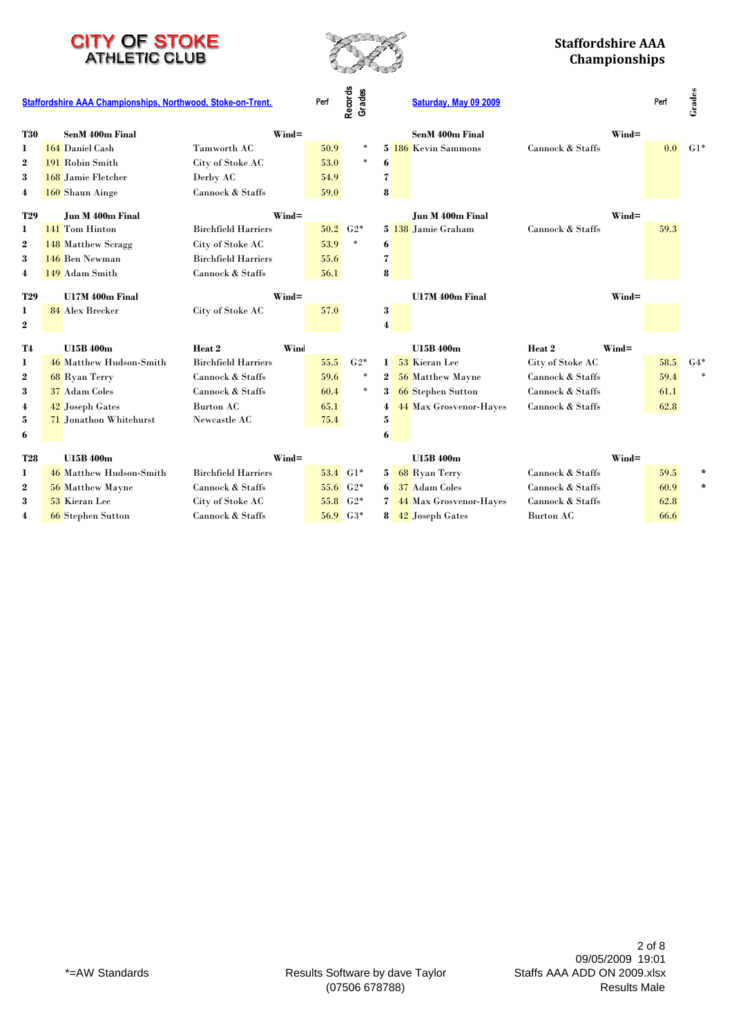



|                  | Staffordshire AAA Championships, Northwood, Stoke-on-Trent. |                            | Perf | Records<br>Grades     |                         | Saturday, May 09 2009         |                   |                   | Perf | Grades       |
|------------------|-------------------------------------------------------------|----------------------------|------|-----------------------|-------------------------|-------------------------------|-------------------|-------------------|------|--------------|
| <b>T30</b>       | <b>SenM 400m Final</b>                                      | $Wind =$                   |      |                       |                         | <b>SenM 400m Final</b>        |                   | $\mathbf{Wind} =$ |      |              |
| 1                | 164 Daniel Cash                                             | Tamworth AC                | 50.9 | $\ast$                |                         | 5 186 Kevin Sammons           | Cannock & Staffs  |                   | 0.0  | $G1*$        |
| $\boldsymbol{2}$ | 191 Robin Smith                                             | City of Stoke AC           | 53.0 | $\ast$                | 6                       |                               |                   |                   |      |              |
| 3                | 168 Jamie Fletcher                                          | Derby AC                   | 54.9 |                       | 7                       |                               |                   |                   |      |              |
| 4                | 160 Shaun Ainge                                             | Cannock & Staffs           | 59.0 |                       | 8                       |                               |                   |                   |      |              |
| <b>T29</b>       | Jun M 400m Final                                            | $Wind =$                   |      |                       |                         | Jun M 400m Final              |                   | $Wind =$          |      |              |
| 1                | 141 Tom Hinton                                              | <b>Birchfield Harriers</b> |      | $50.2\quad G2*$       |                         | 5 138 Jamie Graham            | Cannock & Staffs  |                   | 59.3 |              |
| $\boldsymbol{2}$ | 148 Matthew Scragg                                          | City of Stoke AC           | 53.9 | $\ast$                | 6                       |                               |                   |                   |      |              |
| 3                | 146 Ben Newman                                              | <b>Birchfield Harriers</b> | 55.6 |                       | $\overline{\mathbf{z}}$ |                               |                   |                   |      |              |
| 4                | 149 Adam Smith                                              | Cannock & Staffs           | 56.1 |                       | 8                       |                               |                   |                   |      |              |
| <b>T29</b>       | U17M 400m Final                                             | $Wind =$                   |      |                       |                         | U17M 400m Final               |                   | $Wind =$          |      |              |
| 1                | 84 Alex Brecker                                             | City of Stoke AC           | 57.0 |                       | 3                       |                               |                   |                   |      |              |
| $\bf{2}$         |                                                             |                            |      |                       | 4                       |                               |                   |                   |      |              |
| <b>T4</b>        | <b>U15B 400m</b>                                            | Heat <sub>2</sub><br>Wind  |      |                       |                         | <b>U15B400m</b>               | Heat <sub>2</sub> | $Wind =$          |      |              |
| 1                | 46 Matthew Hudson-Smith                                     | <b>Birchfield Harriers</b> | 55.5 | $G2*$                 | $\mathbf{1}$            | 53 Kieran Lee                 | City of Stoke AC  |                   | 58.5 | $G4*$        |
| $\bf{2}$         | 68 Ryan Terry                                               | Cannock & Staffs           | 59.6 | $\ast$                | $\boldsymbol{2}$        | 56 Matthew Mayne              | Cannock & Staffs  |                   | 59.4 | $\mathbf{x}$ |
| 3                | 37 Adam Coles                                               | Cannock & Staffs           | 60.4 | $\ast$                | 3                       | <b>66</b> Stephen Sutton      | Cannock & Staffs  |                   | 61.1 |              |
| 4                | 42 Joseph Gates                                             | <b>Burton AC</b>           | 65.1 |                       | 4                       | <b>44 Max Grosvenor-Hayes</b> | Cannock & Staffs  |                   | 62.8 |              |
| 5                | 71 Jonathon Whitehurst                                      | Newcastle AC               | 75.4 |                       | 5                       |                               |                   |                   |      |              |
| 6                |                                                             |                            |      |                       | 6                       |                               |                   |                   |      |              |
| <b>T28</b>       | <b>U15B 400m</b>                                            | $Wind =$                   |      |                       |                         | <b>U15B 400m</b>              |                   | $Wind =$          |      |              |
| 1                | 46 Matthew Hudson-Smith                                     | <b>Birchfield Harriers</b> |      | $53.4 \text{ } G1*$   | 5.                      | 68 Ryan Terry                 | Cannock & Staffs  |                   | 59.5 | $\ast$       |
| $\boldsymbol{2}$ | 56 Matthew Mayne                                            | Cannock & Staffs           |      | $55.6\quad G2*$       | 6                       | 37 Adam Coles                 | Cannock & Staffs  |                   | 60.9 | $\star$      |
| 3                | 53 Kieran Lee                                               | City of Stoke AC           |      | 55.8 G <sub>2</sub> * |                         | 44 Max Grosvenor-Hayes        | Cannock & Staffs  |                   | 62.8 |              |
| 4                | <b>66</b> Stephen Sutton                                    | Cannock & Staffs           |      | 56.9 G3*              |                         | 42 Joseph Gates               | Burton AC         |                   | 66.6 |              |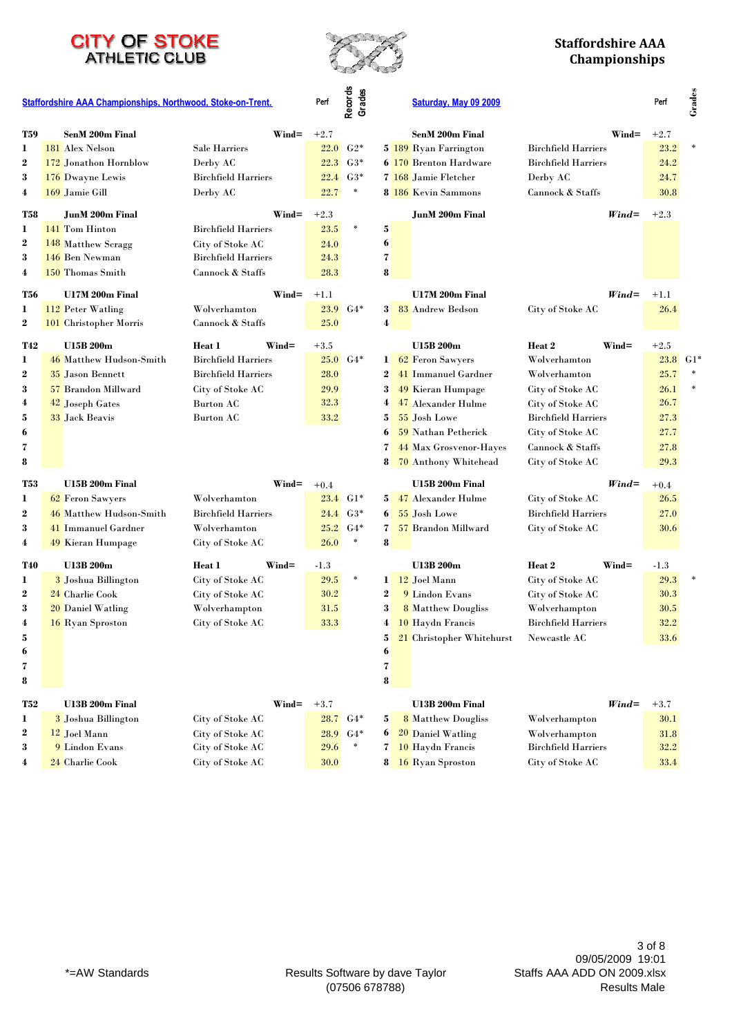



#### **Staffordshire AAA Championships**

**Grades**

|                  | Staffordshire AAA Championships, Northwood, Stoke-on-Trent. |                             | Perf   | Records<br>Grades   |                  | Saturday, May 09 2009         |                            |                   | Perf       | Grades |
|------------------|-------------------------------------------------------------|-----------------------------|--------|---------------------|------------------|-------------------------------|----------------------------|-------------------|------------|--------|
| <b>T59</b>       | <b>SenM 200m Final</b>                                      | $\mathbf{Wind}$ =           | $+2.7$ |                     |                  | <b>SenM 200m Final</b>        |                            | $\mathbf{Wind} =$ | $+2.7$     |        |
| 1                | 181 Alex Nelson                                             | Sale Harriers               | 22.0   | $G2*$               |                  | 5 189 Ryan Farrington         | <b>Birchfield Harriers</b> |                   | 23.2       |        |
| $\bf{2}$         | 172 Jonathon Hornblow                                       | Derby AC                    | 22.3   | $G3*$               |                  | <b>6 170 Brenton Hardware</b> | <b>Birchfield Harriers</b> |                   | 24.2       |        |
| 3                | 176 Dwayne Lewis                                            | <b>Birchfield Harriers</b>  | 22.4   | $G3*$               |                  | 7 168 Jamie Fletcher          | Derby AC                   |                   | 24.7       |        |
| 4                | 169 Jamie Gill                                              | Derby AC                    | 22.7   | $\ast$              |                  | 8 186 Kevin Sammons           | Cannock & Staffs           |                   | 30.8       |        |
| T58              | <b>JunM 200m Final</b>                                      | $\mathbf{Wind} =$           | $+2.3$ |                     |                  | <b>JunM 200m Final</b>        |                            | $Wind =$          | $+2.3$     |        |
| 1                | 141 Tom Hinton                                              | <b>Birchfield Harriers</b>  | 23.5   | $\ast$              | 5                |                               |                            |                   |            |        |
| $\boldsymbol{2}$ | 148 Matthew Scragg                                          | City of Stoke AC            | 24.0   |                     | 6                |                               |                            |                   |            |        |
| 3                | 146 Ben Newman                                              | <b>Birchfield Harriers</b>  | 24.3   |                     | 7                |                               |                            |                   |            |        |
| 4                | 150 Thomas Smith                                            | Cannock & Staffs            | 28.3   |                     | 8                |                               |                            |                   |            |        |
| T56              | U17M 200m Final                                             | $\mathbf{Wind}$ =           | $+1.1$ |                     |                  | U17M 200m Final               |                            | $Wind =$          | $+1.1$     |        |
| 1                | 112 Peter Watling                                           | Wolverhamton                | 23.9   | $G4*$               | 3 <sup>1</sup>   | 83 Andrew Bedson              | City of Stoke AC           |                   | 26.4       |        |
| $\boldsymbol{2}$ | 101 Christopher Morris                                      | Cannock & Staffs            | 25.0   |                     | $\boldsymbol{4}$ |                               |                            |                   |            |        |
| <b>T42</b>       | <b>U15B 200m</b>                                            | Heat 1<br>$\mathbf{Wind} =$ | $+3.5$ |                     |                  | <b>U15B 200m</b>              | Heat 2                     | $Wind =$          | $+2.5$     |        |
| 1                | 46 Matthew Hudson-Smith                                     | <b>Birchfield Harriers</b>  | 25.0   | $G4*$               |                  | 1 62 Feron Sawyers            | Wolverhamton               |                   | $23.8$ G1* |        |
| $\boldsymbol{2}$ | 35 Jason Bennett                                            | <b>Birchfield Harriers</b>  | 28.0   |                     |                  | 2 41 Immanuel Gardner         | Wolverhamton               |                   | 25.7       |        |
| 3                | 57 Brandon Millward                                         | City of Stoke AC            | 29.9   |                     | 3                | 49 Kieran Humpage             | City of Stoke AC           |                   | 26.1       |        |
| 4                | 42 Joseph Gates                                             | Burton AC                   | 32.3   |                     | 4                | 47 Alexander Hulme            | City of Stoke AC           |                   | 26.7       |        |
| 5                | 33 Jack Beavis                                              | Burton AC                   | 33.2   |                     | 5                | 55 Josh Lowe                  | <b>Birchfield Harriers</b> |                   | 27.3       |        |
| 6                |                                                             |                             |        |                     | 6                | 59 Nathan Petherick           | City of Stoke AC           |                   | 27.7       |        |
| 7                |                                                             |                             |        |                     | 7                | 44 Max Grosvenor-Hayes        | Cannock & Staffs           |                   | 27.8       |        |
| 8                |                                                             |                             |        |                     | 8                | 70 Anthony Whitehead          | City of Stoke AC           |                   | 29.3       |        |
| T53              | U15B 200m Final                                             | $Wind =$                    | $+0.4$ |                     |                  | U15B 200m Final               |                            | $Wind =$          | $+0.4$     |        |
| 1                | 62 Feron Sawyers                                            | Wolverhamton                |        | $23.4 \text{ } GHz$ |                  | 5 47 Alexander Hulme          | City of Stoke AC           |                   | 26.5       |        |
| $\boldsymbol{2}$ | 46 Matthew Hudson-Smith                                     | <b>Birchfield Harriers</b>  | 24.4   | $G3*$               | 6                | 55 Josh Lowe                  | <b>Birchfield Harriers</b> |                   | 27.0       |        |
| 3                | 41 Immanuel Gardner                                         | Wolverhamton                | 25.2   | $G4*$               | $\tau$           | 57 Brandon Millward           | City of Stoke AC           |                   | 30.6       |        |
| 4                | 49 Kieran Humpage                                           | City of Stoke AC            | 26.0   | $\ast$              | 8                |                               |                            |                   |            |        |
| <b>T40</b>       | U13B 200m                                                   | $Wind =$<br>Heat 1          | $-1.3$ |                     |                  | U13B 200m                     | Heat 2                     | $Wind =$          | $-1.3$     |        |
| 1                | 3 Joshua Billington                                         | City of Stoke AC            | 29.5   | $\ast$              |                  | 1 12 Joel Mann                | City of Stoke AC           |                   | 29.3       |        |
| $\boldsymbol{2}$ | 24 Charlie Cook                                             | City of Stoke AC            | 30.2   |                     | $\boldsymbol{2}$ | 9 Lindon Evans                | City of Stoke AC           |                   | 30.3       |        |
| 3                | 20 Daniel Watling                                           | Wolverhampton               | 31.5   |                     | 3                | <b>8</b> Matthew Dougliss     | Wolverhampton              |                   | 30.5       |        |
| 4                | 16 Ryan Sproston                                            | City of Stoke AC            | 33.3   |                     | 4                | 10 Haydn Francis              | <b>Birchfield Harriers</b> |                   | 32.2       |        |
| 5                |                                                             |                             |        |                     | 5.               | 21 Christopher Whitehurst     | Newcastle AC               |                   | 33.6       |        |
| 6                |                                                             |                             |        |                     | 6                |                               |                            |                   |            |        |
| 7                |                                                             |                             |        |                     | 7                |                               |                            |                   |            |        |
| 8                |                                                             |                             |        |                     | 8                |                               |                            |                   |            |        |
| <b>T52</b>       | U13B 200m Final                                             | $\mathbf{Wind}$ =           | $+3.7$ |                     |                  | U13B 200m Final               |                            | $Wind =$          | $+3.7$     |        |
| 1                | 3 Joshua Billington                                         | City of Stoke AC            | 28.7   | $G4*$               | 5                | <b>8</b> Matthew Dougliss     | Wolverhampton              |                   | 30.1       |        |
| $\boldsymbol{2}$ | 12 Joel Mann                                                | City of Stoke AC            | 28.9   | $G4*$               | 6                | 20 Daniel Watling             | Wolverhampton              |                   | 31.8       |        |
| 3                | 9 Lindon Evans                                              | City of Stoke AC            | 29.6   |                     | 7                | 10 Haydn Francis              | <b>Birchfield Harriers</b> |                   | 32.2       |        |
| 4                | 24 Charlie Cook                                             | City of Stoke AC            | 30.0   |                     |                  | 8 16 Ryan Sproston            | City of Stoke AC           |                   | $33.4\,$   |        |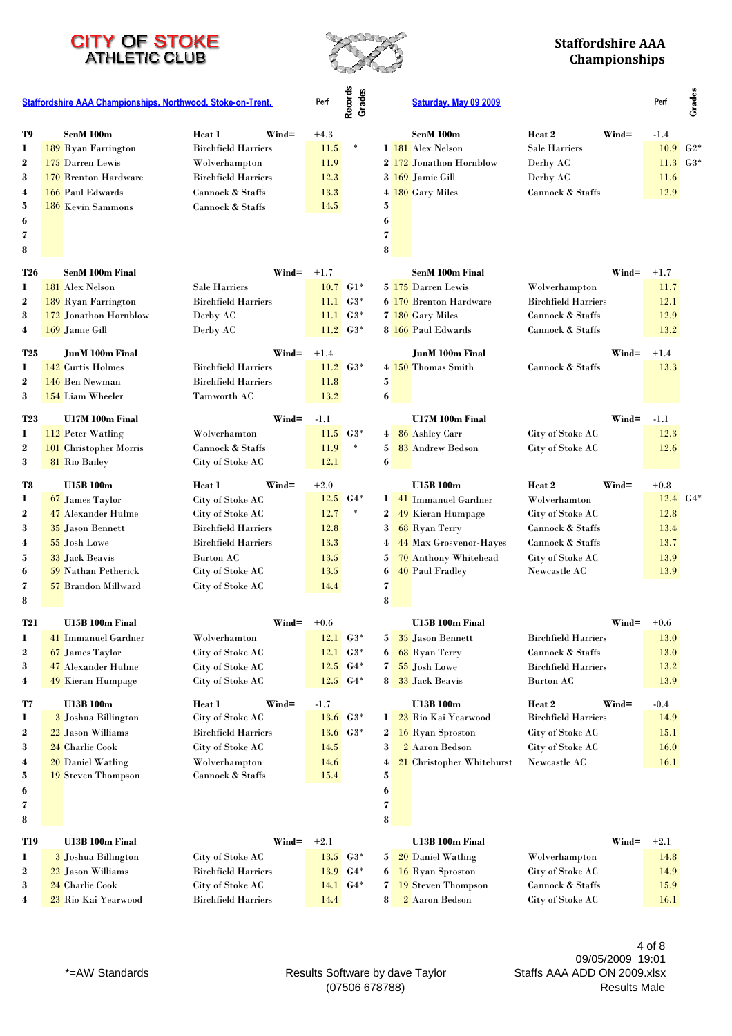



|                       | Staffordshire AAA Championships, Northwood, Stoke-on-Trent. |                                      | Perf   | Records<br>Grades   |                           | Saturday, May 09 2009         |                                                          |                   | Perf            | Grades |
|-----------------------|-------------------------------------------------------------|--------------------------------------|--------|---------------------|---------------------------|-------------------------------|----------------------------------------------------------|-------------------|-----------------|--------|
| T9                    | SenM 100m                                                   | $Wind =$<br>Heat 1                   | $+4.3$ |                     |                           | SenM 100m                     | Heat 2                                                   | $Wind =$          | $-1.4$          |        |
| 1                     | 189 Ryan Farrington                                         | <b>Birchfield Harriers</b>           | 11.5   | $\ast$              |                           | 1 181 Alex Nelson             | Sale Harriers                                            |                   | $10.9\quad G2*$ |        |
| $\boldsymbol{2}$      | 175 Darren Lewis                                            | Wolverhampton                        | 11.9   |                     |                           | 2 172 Jonathon Hornblow       | Derby AC                                                 |                   | $11.3$ $G3*$    |        |
| 3                     | 170 Brenton Hardware                                        | <b>Birchfield Harriers</b>           | 12.3   |                     |                           | 3 169 Jamie Gill              | Derby AC                                                 |                   | 11.6            |        |
| 4                     | 166 Paul Edwards                                            | Cannock & Staffs                     | 13.3   |                     |                           | 4 180 Gary Miles              | Cannock & Staffs                                         |                   | 12.9            |        |
| 5                     | <b>186</b> Kevin Sammons                                    | Cannock & Staffs                     | 14.5   |                     | 5                         |                               |                                                          |                   |                 |        |
| 6                     |                                                             |                                      |        |                     | 6                         |                               |                                                          |                   |                 |        |
| 7                     |                                                             |                                      |        |                     | $\overline{\mathbf{z}}$   |                               |                                                          |                   |                 |        |
| 8                     |                                                             |                                      |        |                     | 8                         |                               |                                                          |                   |                 |        |
| <b>T26</b>            | <b>SenM 100m Final</b>                                      | $\mathbf{Wind}$ =                    | $+1.7$ |                     |                           | SenM 100m Final               |                                                          | $\mathbf{Wind} =$ | $+1.7$          |        |
| 1                     | 181 Alex Nelson                                             | <b>Sale Harriers</b>                 | 10.7   | $G1*$               |                           | 5 175 Darren Lewis            | Wolverhampton                                            |                   | 11.7            |        |
| $\boldsymbol{2}$      | 189 Ryan Farrington                                         | <b>Birchfield Harriers</b>           |        | $11.1 \tG3*$        |                           | <b>6 170 Brenton Hardware</b> | <b>Birchfield Harriers</b>                               |                   | 12.1            |        |
| 3                     | 172 Jonathon Hornblow                                       | Derby AC                             |        | $11.1 \tG3*$        |                           | 7 180 Gary Miles              | Cannock & Staffs                                         |                   | 12.9            |        |
| 4                     | 169 Jamie Gill                                              | Derby AC                             |        | $11.2 \tG3*$        |                           | 8 166 Paul Edwards            | Cannock & Staffs                                         |                   | 13.2            |        |
|                       |                                                             |                                      |        |                     |                           |                               |                                                          |                   |                 |        |
| <b>T25</b>            | <b>JunM 100m Final</b>                                      | $Wind =$                             | $+1.4$ |                     |                           | <b>JunM 100m Final</b>        |                                                          | $\mathbf{Wind} =$ | $+1.4$          |        |
| 1                     | 142 Curtis Holmes                                           | <b>Birchfield Harriers</b>           |        | $11.2 \tG3*$        |                           | 4 150 Thomas Smith            | Cannock & Staffs                                         |                   | 13.3            |        |
| $\boldsymbol{2}$      | 146 Ben Newman                                              | <b>Birchfield Harriers</b>           | 11.8   |                     | 5                         |                               |                                                          |                   |                 |        |
| 3                     | 154 Liam Wheeler                                            | Tamworth AC                          | 13.2   |                     | 6                         |                               |                                                          |                   |                 |        |
| <b>T23</b>            | U17M 100m Final                                             | $\mathbf{Wind} =$                    | $-1.1$ |                     |                           | U17M 100m Final               |                                                          | $Wind =$          | $-1.1$          |        |
| 1                     | 112 Peter Watling                                           | Wolverhamton                         | 11.5   | $G3*$               |                           | 4 86 Ashley Carr              | City of Stoke AC                                         |                   | 12.3            |        |
| $\boldsymbol{2}$      | <b>101</b> Christopher Morris                               | Cannock & Staffs                     | 11.9   | $\ast$              | 5 <sup>1</sup>            | 83 Andrew Bedson              | City of Stoke AC                                         |                   | 12.6            |        |
| 3                     | 81 Rio Bailey                                               | City of Stoke AC                     | 12.1   |                     | 6                         |                               |                                                          |                   |                 |        |
| T8                    | <b>U15B 100m</b>                                            | Heat 1<br>$\mathbf{Wind} =$          | $+2.0$ |                     |                           | <b>U15B 100m</b>              | Heat 2                                                   | $Wind =$          | $+0.8$          |        |
| 1                     | 67 James Taylor                                             | City of Stoke AC                     |        | $12.5\quad G4*$     |                           | 1 41 Immanuel Gardner         | Wolverhamton                                             |                   | $12.4\quad G4*$ |        |
| $\bf{2}$              | 47 Alexander Hulme                                          | City of Stoke AC                     | 12.7   | $\ast$              | $\mathbf{2}$              | 49 Kieran Humpage             | City of Stoke AC                                         |                   | 12.8            |        |
| 3                     | 35 Jason Bennett                                            | <b>Birchfield Harriers</b>           | 12.8   |                     | 3 <sup>1</sup>            | 68 Ryan Terry                 | Cannock & Staffs                                         |                   | 13.4            |        |
| 4                     | 55 Josh Lowe                                                | <b>Birchfield Harriers</b>           | 13.3   |                     | 4                         | 44 Max Grosvenor-Hayes        | Cannock & Staffs                                         |                   | 13.7            |        |
| 5                     | 33 Jack Beavis                                              | <b>Burton AC</b>                     | 13.5   |                     | 5                         | 70 Anthony Whitehead          | City of Stoke AC                                         |                   | 13.9            |        |
| 6                     | <b>59 Nathan Petherick</b>                                  | City of Stoke AC                     | 13.5   |                     | 6                         | <b>40 Paul Fradley</b>        | Newcastle AC                                             |                   | 13.9            |        |
| 7                     | 57 Brandon Millward                                         | City of Stoke AC                     | 14.4   |                     | 7                         |                               |                                                          |                   |                 |        |
| 8                     |                                                             |                                      |        |                     | 8                         |                               |                                                          |                   |                 |        |
|                       |                                                             |                                      |        |                     |                           |                               |                                                          |                   |                 |        |
| <b>T21</b>            | U15B 100m Final                                             | $\mathbf{Wind} =$                    | $+0.6$ | $12.1\quad G3*$     |                           | U15B 100m Final               |                                                          | $\mathbf{Wind} =$ | $+0.6$          |        |
|                       | 41 Immanuel Gardner                                         | Wolverhamton                         |        | $12.1\quad G3*$     |                           | 5 35 Jason Bennett            | <b>Birchfield Harriers</b>                               |                   | 13.0            |        |
| $\boldsymbol{2}$<br>3 | 67 James Taylor<br>47 Alexander Hulme                       | City of Stoke AC                     |        | $12.5\quad G4*$     | $\bullet$<br>$\mathbf{7}$ | 68 Ryan Terry<br>55 Josh Lowe | Cannock & Staffs                                         |                   | 13.0<br>13.2    |        |
| 4                     | 49 Kieran Humpage                                           | City of Stoke AC<br>City of Stoke AC |        | $12.5\quad G4*$     | 8                         | 33 Jack Beavis                | <b>Birchfield Harriers</b><br>Burton $\operatorname{AC}$ |                   | 13.9            |        |
|                       |                                                             |                                      |        |                     |                           |                               |                                                          |                   |                 |        |
| T7                    | <b>U13B 100m</b>                                            | $Wind =$<br>Heat 1                   | -1.7   |                     |                           | <b>U13B 100m</b>              | Heat 2                                                   | Wind=             | $-0.4$          |        |
| 1                     | 3 Joshua Billington                                         | City of Stoke AC                     |        | $13.6$ $G3*$        |                           | 1 23 Rio Kai Yearwood         | <b>Birchfield Harriers</b>                               |                   | 14.9            |        |
| 2                     | 22 Jason Williams                                           | <b>Birchfield Harriers</b>           |        | $13.6\quad G3*$     |                           | 2 16 Ryan Sproston            | City of Stoke AC                                         |                   | 15.1            |        |
| 3                     | 24 Charlie Cook                                             | City of Stoke AC                     | 14.5   |                     | $\mathbf{3}$              | 2 Aaron Bedson                | City of Stoke AC                                         |                   | 16.0            |        |
| 4                     | 20 Daniel Watling                                           | Wolverhampton                        | 14.6   |                     | 4                         | 21 Christopher Whitehurst     | Newcastle AC                                             |                   | 16.1            |        |
| 5                     | <b>19</b> Steven Thompson                                   | Cannock & Staffs                     | 15.4   |                     | 5                         |                               |                                                          |                   |                 |        |
| 6                     |                                                             |                                      |        |                     | 6                         |                               |                                                          |                   |                 |        |
| 7                     |                                                             |                                      |        |                     | 7                         |                               |                                                          |                   |                 |        |
| 8                     |                                                             |                                      |        |                     | 8                         |                               |                                                          |                   |                 |        |
| <b>T19</b>            | U13B 100m Final                                             | Wind=                                | $+2.1$ |                     |                           | U13B 100m Final               |                                                          | $\mathbf{Wind} =$ | $+2.1$          |        |
| 1                     | 3 Joshua Billington                                         | City of Stoke AC                     |        | $13.5\quad G3*$     | 5                         | 20 Daniel Watling             | Wolverhampton                                            |                   | 14.8            |        |
| 2                     | 22 Jason Williams                                           | <b>Birchfield Harriers</b>           |        | $13.9 \text{ } G4*$ | $\mathbf{6}$              | 16 Ryan Sproston              | City of Stoke AC                                         |                   | 14.9            |        |
| 3                     | 24 Charlie Cook                                             | City of Stoke AC                     |        | $14.1\quad G4*$     | $\mathbf{7}$              | <b>19</b> Steven Thompson     | Cannock & Staffs                                         |                   | 15.9            |        |
| 4                     | 23 Rio Kai Yearwood                                         | <b>Birchfield Harriers</b>           | 14.4   |                     | 8                         | 2 Aaron Bedson                | City of Stoke AC                                         |                   | 16.1            |        |

\*=AW Standards extending the Results Software by dave Taylor (07506 678788)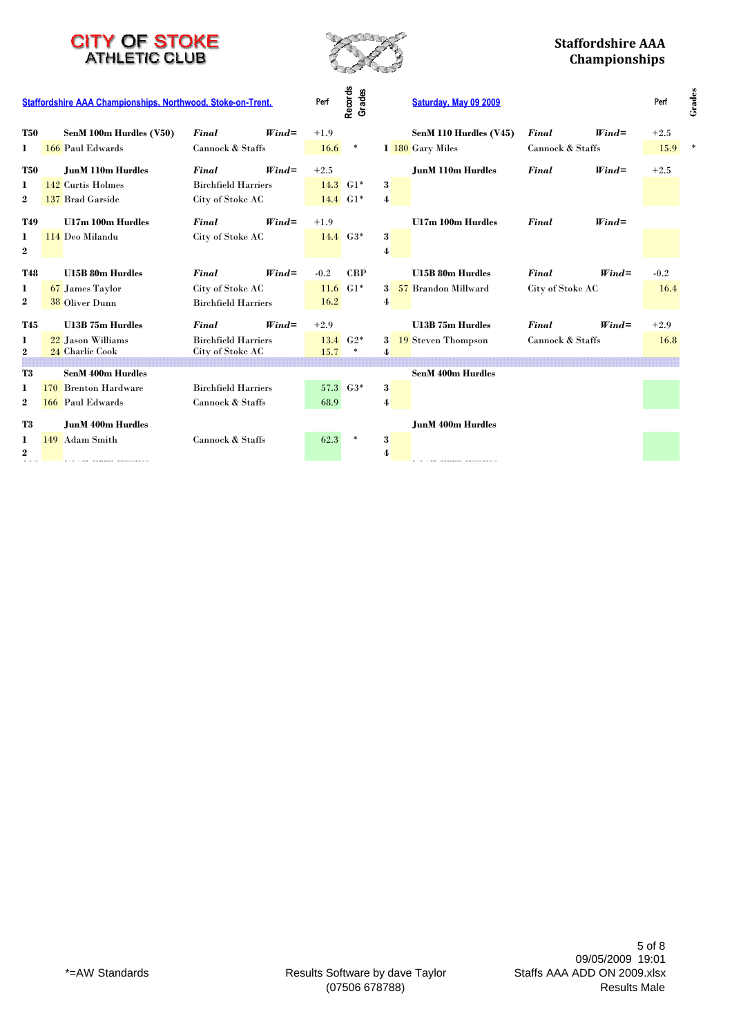

#### **Staffordshire AAA Championships**

|            | Staffordshire AAA Championships, Northwood, Stoke-on-Trent. |                            |          | Perf   | Records<br>Grades   |             | Saturday, May 09 2009      |                  |          | Perf   | Grades |
|------------|-------------------------------------------------------------|----------------------------|----------|--------|---------------------|-------------|----------------------------|------------------|----------|--------|--------|
| <b>T50</b> | SenM 100m Hurdles (V50)                                     | Final                      | $Wind =$ | $+1.9$ |                     |             | SenM 110 Hurdles (V45)     | Final            | $Wind =$ | $+2.5$ |        |
| 1          | 166 Paul Edwards                                            | Cannock & Staffs           |          | 16.6   | $\ast$              |             | 1 180 Gary Miles           | Cannock & Staffs |          | 15.9   |        |
| <b>T50</b> | <b>JunM 110m Hurdles</b>                                    | Final                      | $Wind =$ | $+2.5$ |                     |             | <b>JunM 110m Hurdles</b>   | Final            | $Wind =$ | $+2.5$ |        |
| 1          | 142 Curtis Holmes                                           | <b>Birchfield Harriers</b> |          |        | $14.3 \text{ } GHz$ | 3           |                            |                  |          |        |        |
| $\bf{2}$   | 137 Brad Garside                                            | City of Stoke AC           |          |        | $14.4 \text{ } G1*$ | 4           |                            |                  |          |        |        |
| <b>T49</b> | <b>U17m 100m Hurdles</b>                                    | Final                      | $Wind =$ | $+1.9$ |                     |             | U17m 100m Hurdles          | Final            | $Wind =$ |        |        |
| 1.         | 114 Deo Milandu                                             | City of Stoke AC           |          |        | $14.4\quad G3*$     | 3           |                            |                  |          |        |        |
| $\bf{2}$   |                                                             |                            |          |        |                     | 4           |                            |                  |          |        |        |
| <b>T48</b> | <b>U15B 80m Hurdles</b>                                     | <b>Final</b>               | $Wind =$ | $-0.2$ | CBP                 |             | <b>U15B 80m Hurdles</b>    | Final            | $Wind =$ | $-0.2$ |        |
| 1          | 67 James Taylor                                             | City of Stoke AC           |          |        | $11.6 \text{ } G1*$ |             | 3 57 Brandon Millward      | City of Stoke AC |          | 16.4   |        |
| $\bf{2}$   | 38 Oliver Dunn                                              | <b>Birchfield Harriers</b> |          | 16.2   |                     | 4           |                            |                  |          |        |        |
| <b>T45</b> | <b>U13B 75m Hurdles</b>                                     | Final                      | $Wind =$ | $+2.9$ |                     |             | <b>U13B 75m Hurdles</b>    | Final            | $Wind =$ | $+2.9$ |        |
| 1          | 22 Jason Williams                                           | <b>Birchfield Harriers</b> |          |        | $13.4\quad G2*$     | $3^{\circ}$ | 19 Steven Thompson         | Cannock & Staffs |          | 16.8   |        |
| 2          | 24 Charlie Cook                                             | City of Stoke AC           |          | 15.7   | $\ast$              | 4           |                            |                  |          |        |        |
| T3         | <b>SenM 400m Hurdles</b>                                    |                            |          |        |                     |             | <b>SenM 400m Hurdles</b>   |                  |          |        |        |
| 1          | 170 Brenton Hardware                                        | <b>Birchfield Harriers</b> |          |        | 57.3 G3*            | 3           |                            |                  |          |        |        |
| $\bf{2}$   | 166 Paul Edwards                                            | Cannock & Staffs           |          | 68.9   |                     | 4           |                            |                  |          |        |        |
|            |                                                             |                            |          |        |                     |             |                            |                  |          |        |        |
| T3         | <b>JunM 400m Hurdles</b>                                    |                            |          |        |                     |             | <b>JunM 400m Hurdles</b>   |                  |          |        |        |
| 1          | 149 Adam Smith                                              | Cannock & Staffs           |          | 62.3   | $\ast$              | $\bf{3}$    |                            |                  |          |        |        |
| $\bf{2}$   |                                                             |                            |          |        |                     | 4           | المتاريخ والمتحدث والمتحدث |                  |          |        |        |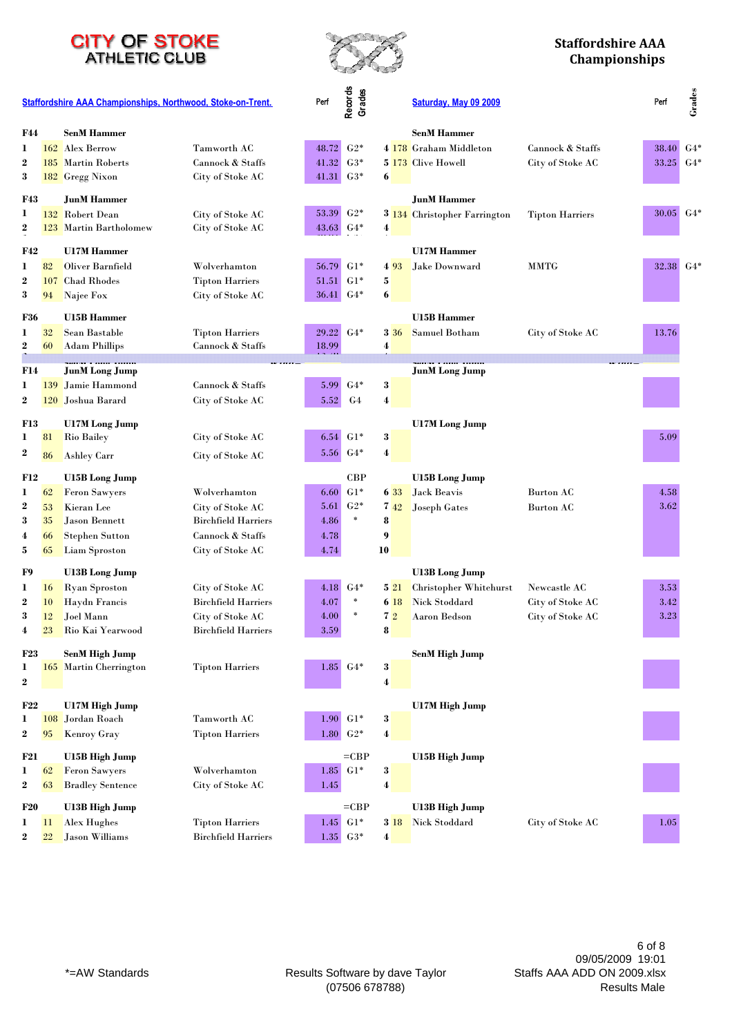



|                       | Staffordshire AAA Championships, Northwood, Stoke-on-Trent. |                                                 |                                            | Perf                 | Records<br>Grades   |                  |             | Saturday, May 09 2009                           |                        | Perf             | Grades |
|-----------------------|-------------------------------------------------------------|-------------------------------------------------|--------------------------------------------|----------------------|---------------------|------------------|-------------|-------------------------------------------------|------------------------|------------------|--------|
| <b>F44</b>            |                                                             | <b>SenM Hammer</b>                              |                                            |                      |                     |                  |             | <b>SenM Hammer</b>                              |                        |                  |        |
| 1                     |                                                             | 162 Alex Berrow                                 | Tamworth AC                                | 48.72                | $G2*$               |                  |             | 4 178 Graham Middleton                          | Cannock & Staffs       | 38.40            | $G4*$  |
| $\boldsymbol{2}$      |                                                             | 185 Martin Roberts                              | Cannock & Staffs                           | 41.32                | $G3*$               |                  |             | 5 173 Clive Howell                              | City of Stoke AC       | 33.25 $G4*$      |        |
| 3                     |                                                             | 182 Gregg Nixon                                 | City of Stoke AC                           | 41.31                | $G3*$               | 6                |             |                                                 |                        |                  |        |
| <b>F43</b>            |                                                             | <b>JunM Hammer</b>                              |                                            |                      |                     |                  |             | <b>JunM Hammer</b>                              |                        |                  |        |
| 1                     |                                                             | 132 Robert Dean                                 | City of Stoke AC                           | 53.39 G2*            |                     |                  |             | 3 134 Christopher Farrington                    | <b>Tipton Harriers</b> | $30.05 \mid G4*$ |        |
| $\boldsymbol{2}$      |                                                             | 123 Martin Bartholomew                          | City of Stoke AC                           | 43.63                | $G4*$               | 4                |             |                                                 |                        |                  |        |
| <b>F42</b>            |                                                             | <b>U17M Hammer</b>                              |                                            |                      |                     |                  |             | <b>U17M Hammer</b>                              |                        |                  |        |
| 1                     | 82                                                          | Oliver Barnfield                                | Wolverhamton                               | 56.79                | $G1*$               |                  | 4 9 3       | Jake Downward                                   | <b>MMTG</b>            | 32.38 G4*        |        |
| $\boldsymbol{2}$      | 107                                                         | <b>Chad Rhodes</b>                              | <b>Tipton Harriers</b>                     | $51.51 \text{ } GHz$ |                     | 5                |             |                                                 |                        |                  |        |
| 3                     | 94                                                          | Najee Fox                                       | City of Stoke AC                           | 36.41                | $G4*$               | 6                |             |                                                 |                        |                  |        |
|                       |                                                             |                                                 |                                            |                      |                     |                  |             |                                                 |                        |                  |        |
| <b>F36</b>            |                                                             | <b>U15B Hammer</b>                              |                                            |                      |                     |                  |             | U15B Hammer                                     |                        |                  |        |
| 1<br>$\bf 2$          | 32<br>60                                                    | Sean Bastable                                   | <b>Tipton Harriers</b><br>Cannock & Staffs | 29.22<br>18.99       | $G4*$               | $\boldsymbol{4}$ | <b>3</b> 36 | Samuel Botham                                   | City of Stoke AC       | 13.76            |        |
|                       |                                                             | <b>Adam Phillips</b>                            |                                            |                      |                     |                  |             |                                                 |                        |                  |        |
| F14                   |                                                             | <b>JunM</b> Long Jump                           |                                            |                      |                     |                  |             | <b>JunM</b> Long Jump                           |                        |                  |        |
| 1                     | 139                                                         | Jamie Hammond                                   | Cannock & Staffs                           | 5.99                 | $G4*$               | $\bf{3}$         |             |                                                 |                        |                  |        |
| $\boldsymbol{2}$      |                                                             | 120 Joshua Barard                               | City of Stoke AC                           | 5.52                 | G <sub>4</sub>      | $\boldsymbol{4}$ |             |                                                 |                        |                  |        |
| <b>F13</b>            |                                                             | <b>U17M</b> Long Jump                           |                                            |                      |                     |                  |             | <b>U17M</b> Long Jump                           |                        |                  |        |
| 1                     | 81                                                          | <b>Rio Bailey</b>                               | City of Stoke AC                           | 6.54                 | $G1*$               | 3                |             |                                                 |                        | 5.09             |        |
| $\boldsymbol{2}$      | 86                                                          | <b>Ashley Carr</b>                              | City of Stoke AC                           | 5.56                 | $G4*$               | $\boldsymbol{4}$ |             |                                                 |                        |                  |        |
|                       |                                                             |                                                 |                                            |                      |                     |                  |             |                                                 |                        |                  |        |
| <b>F12</b>            |                                                             | <b>U15B</b> Long Jump<br><b>Feron Sawyers</b>   | Wolverhamton                               | 6.60                 | CBP<br>$G1*$        |                  | 6 33        | <b>U15B Long Jump</b><br>Jack Beavis            | Burton AC              | 4.58             |        |
| 1<br>$\boldsymbol{2}$ | 62<br>53                                                    | Kieran Lee                                      | City of Stoke AC                           | 5.61                 | $G2*$               |                  | 742         | <b>Joseph Gates</b>                             | <b>Burton AC</b>       | 3.62             |        |
| 3                     | 35                                                          | <b>Jason Bennett</b>                            | <b>Birchfield Harriers</b>                 | 4.86                 | $\ast$              | 8                |             |                                                 |                        |                  |        |
| 4                     | 66                                                          | <b>Stephen Sutton</b>                           | Cannock & Staffs                           | 4.78                 |                     | 9                |             |                                                 |                        |                  |        |
| 5                     | 65                                                          | Liam Sproston                                   | City of Stoke AC                           | 4.74                 |                     | 10               |             |                                                 |                        |                  |        |
|                       |                                                             |                                                 |                                            |                      |                     |                  |             |                                                 |                        |                  |        |
| F9<br>1               | 16                                                          | <b>U13B</b> Long Jump<br><b>Ryan Sproston</b>   | City of Stoke AC                           |                      | 4.18 G4*            |                  | 521         | <b>U13B</b> Long Jump<br>Christopher Whitehurst | Newcastle AC           | 3.53             |        |
| $\boldsymbol{2}$      | 10                                                          | <b>Haydn Francis</b>                            | <b>Birchfield Harriers</b>                 | 4.07                 | ×                   |                  | 6 18        | <b>Nick Stoddard</b>                            | City of Stoke AC       | 3.42             |        |
| 3                     | 12                                                          | Joel Mann                                       | City of Stoke AC                           | 4.00                 | $\ast$              | 72               |             | <b>Aaron Bedson</b>                             | City of Stoke AC       | 3.23             |        |
| 4                     | 23                                                          | Rio Kai Yearwood                                | <b>Birchfield Harriers</b>                 | 3.59                 |                     | 8                |             |                                                 |                        |                  |        |
|                       |                                                             |                                                 |                                            |                      |                     |                  |             |                                                 |                        |                  |        |
| <b>F23</b><br>1       |                                                             | <b>SenM High Jump</b><br>165 Martin Cherrington | <b>Tipton Harriers</b>                     |                      | $1.85\, G4*$        | 3                |             | <b>SenM High Jump</b>                           |                        |                  |        |
| $\bf{2}$              |                                                             |                                                 |                                            |                      |                     | $\boldsymbol{4}$ |             |                                                 |                        |                  |        |
|                       |                                                             |                                                 |                                            |                      |                     |                  |             |                                                 |                        |                  |        |
| F22                   |                                                             | U17M High Jump                                  |                                            |                      |                     |                  |             | <b>U17M High Jump</b>                           |                        |                  |        |
| $\mathbf{I}$          | 108                                                         | Jordan Roach                                    | Tamworth AC                                |                      | $1.90 \text{ } G1*$ | $\bf 3$          |             |                                                 |                        |                  |        |
| $\bf{2}$              | 95                                                          | <b>Kenroy Gray</b>                              | <b>Tipton Harriers</b>                     |                      | $1.80\,$ G2*        | $\boldsymbol{4}$ |             |                                                 |                        |                  |        |
| <b>F21</b>            |                                                             | <b>U15B High Jump</b>                           |                                            |                      | $=$ CBP             |                  |             | U15B High Jump                                  |                        |                  |        |
| 1                     | 62                                                          | <b>Feron Sawyers</b>                            | Wolverhamton                               |                      | $1.85\,$ G1*        | 3                |             |                                                 |                        |                  |        |
| $\bf{2}$              | 63                                                          | <b>Bradley Sentence</b>                         | City of Stoke AC                           | 1.45                 |                     | $\boldsymbol{4}$ |             |                                                 |                        |                  |        |
| <b>F20</b>            |                                                             | U13B High Jump                                  |                                            |                      | $=$ CBP             |                  |             | U13B High Jump                                  |                        |                  |        |
| $\mathbf{I}$          | $_{11}$                                                     | Alex Hughes                                     | <b>Tipton Harriers</b>                     |                      | $1.45\,$ G1*        |                  | 3 18        | <b>Nick Stoddard</b>                            | City of Stoke AC       | 1.05             |        |
| $\bf{2}$              | 22                                                          | <b>Jason Williams</b>                           | <b>Birchfield Harriers</b>                 |                      | $1.35\,$ $G3*$      | $\boldsymbol{4}$ |             |                                                 |                        |                  |        |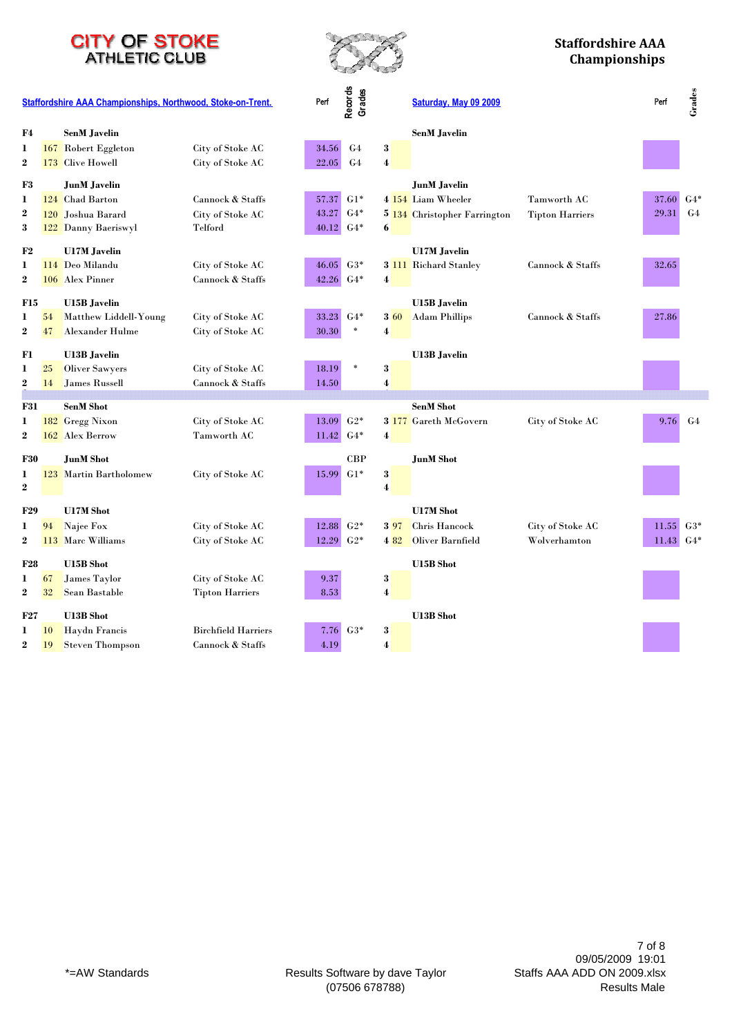



|                  | Staffordshire AAA Championships, Northwood, Stoke-on-Trent. |                        |                            |                  | Records<br>Grades |                  | Saturday, May 09 2009        |                        | Perf  | Grades         |
|------------------|-------------------------------------------------------------|------------------------|----------------------------|------------------|-------------------|------------------|------------------------------|------------------------|-------|----------------|
| F4               |                                                             | <b>SenM</b> Javelin    |                            |                  |                   |                  | <b>SenM Javelin</b>          |                        |       |                |
| 1                | 167                                                         | Robert Eggleton        | City of Stoke AC           | 34.56            | G <sub>4</sub>    | 3                |                              |                        |       |                |
| $\boldsymbol{2}$ |                                                             | 173 Clive Howell       | City of Stoke AC           | 22.05            | G <sub>4</sub>    | $\boldsymbol{4}$ |                              |                        |       |                |
| F3               |                                                             | JunM Javelin           |                            |                  |                   |                  | <b>JunM</b> Javelin          |                        |       |                |
| 1                |                                                             | 124 Chad Barton        | Cannock & Staffs           | 57.37            | $G1*$             |                  | 4 154 Liam Wheeler           | Tamworth AC            | 37.60 | $G4*$          |
| $\boldsymbol{2}$ |                                                             | 120 Joshua Barard      | City of Stoke AC           | 43.27            | $G4*$             |                  | 5 134 Christopher Farrington | <b>Tipton Harriers</b> | 29.31 | G <sub>4</sub> |
| 3                |                                                             | 122 Danny Baeriswyl    | Telford                    | $40.12$ G4*      |                   | 6                |                              |                        |       |                |
| F2               |                                                             | <b>U17M Javelin</b>    |                            |                  |                   |                  | <b>U17M</b> Javelin          |                        |       |                |
| 1                |                                                             | 114 Deo Milandu        | City of Stoke AC           | 46.05            | $G3*$             |                  | 3 111 Richard Stanley        | Cannock & Staffs       | 32.65 |                |
| $\boldsymbol{2}$ |                                                             | 106 Alex Pinner        | Cannock & Staffs           | 42.26 G4*        |                   | 4                |                              |                        |       |                |
| <b>F15</b>       |                                                             | <b>U15B</b> Javelin    |                            |                  |                   |                  | <b>U15B</b> Javelin          |                        |       |                |
| 1                | 54                                                          | Matthew Liddell-Young  | City of Stoke AC           | 33.23            | $G4*$             | $3\,60$          | <b>Adam Phillips</b>         | Cannock & Staffs       | 27.86 |                |
| $\boldsymbol{2}$ | 47                                                          | <b>Alexander Hulme</b> | City of Stoke AC           | 30.30            | $\ast$            | 4                |                              |                        |       |                |
|                  |                                                             |                        |                            |                  |                   |                  |                              |                        |       |                |
| F1               |                                                             | <b>U13B</b> Javelin    |                            |                  |                   |                  | <b>U13B</b> Javelin          |                        |       |                |
| 1                | 25                                                          | <b>Oliver Sawyers</b>  | City of Stoke AC           | 18.19            |                   | 3                |                              |                        |       |                |
| $\boldsymbol{2}$ | 14                                                          | James Russell          | Cannock & Staffs           | 14.50            |                   | 4                |                              |                        |       |                |
| <b>F31</b>       |                                                             | <b>SenM Shot</b>       |                            |                  |                   |                  | <b>SenM Shot</b>             |                        |       |                |
| 1                | 182                                                         | <b>Gregg Nixon</b>     | City of Stoke AC           | 13.09            | $G2*$             |                  | 3 177 Gareth McGovern        | City of Stoke AC       | 9.76  | G <sub>4</sub> |
| $\boldsymbol{2}$ |                                                             | 162 Alex Berrow        | Tamworth AC                | $11.42 \mid 64*$ |                   | 4                |                              |                        |       |                |
| <b>F30</b>       |                                                             | <b>JunM</b> Shot       |                            |                  | CBP               |                  | <b>JunM</b> Shot             |                        |       |                |
| 1                |                                                             | 123 Martin Bartholomew | City of Stoke AC           | 15.99            | $G1*$             | 3                |                              |                        |       |                |
| $\bf{2}$         |                                                             |                        |                            |                  |                   | 4                |                              |                        |       |                |
| <b>F29</b>       |                                                             | <b>U17M Shot</b>       |                            |                  |                   |                  | <b>U17M Shot</b>             |                        |       |                |
| 1                | 94                                                          | Najee Fox              | City of Stoke AC           | 12.88            | $G2*$             | 397              | Chris Hancock                | City of Stoke AC       | 11.55 | $G3*$          |
| $\boldsymbol{2}$ |                                                             | 113 Marc Williams      | City of Stoke AC           | 12.29            | $G2*$             | 4 82             | Oliver Barnfield             | Wolverhamton           | 11.43 | $G4*$          |
|                  |                                                             |                        |                            |                  |                   |                  |                              |                        |       |                |
| <b>F28</b>       |                                                             | <b>U15B</b> Shot       |                            |                  |                   |                  | <b>U15B</b> Shot             |                        |       |                |
| 1                | 67                                                          | James Taylor           | City of Stoke AC           | 9.37             |                   | 3                |                              |                        |       |                |
| $\bf{2}$         | 32                                                          | Sean Bastable          | <b>Tipton Harriers</b>     | 8.53             |                   | $\boldsymbol{4}$ |                              |                        |       |                |
| <b>F27</b>       |                                                             | <b>U13B</b> Shot       |                            |                  |                   |                  | <b>U13B</b> Shot             |                        |       |                |
| 1                | 10                                                          | <b>Haydn Francis</b>   | <b>Birchfield Harriers</b> | 7.76             | $G3*$             | 3                |                              |                        |       |                |
| $\bf{2}$         | 19                                                          | <b>Steven Thompson</b> | Cannock & Staffs           | 4.19             |                   | 4                |                              |                        |       |                |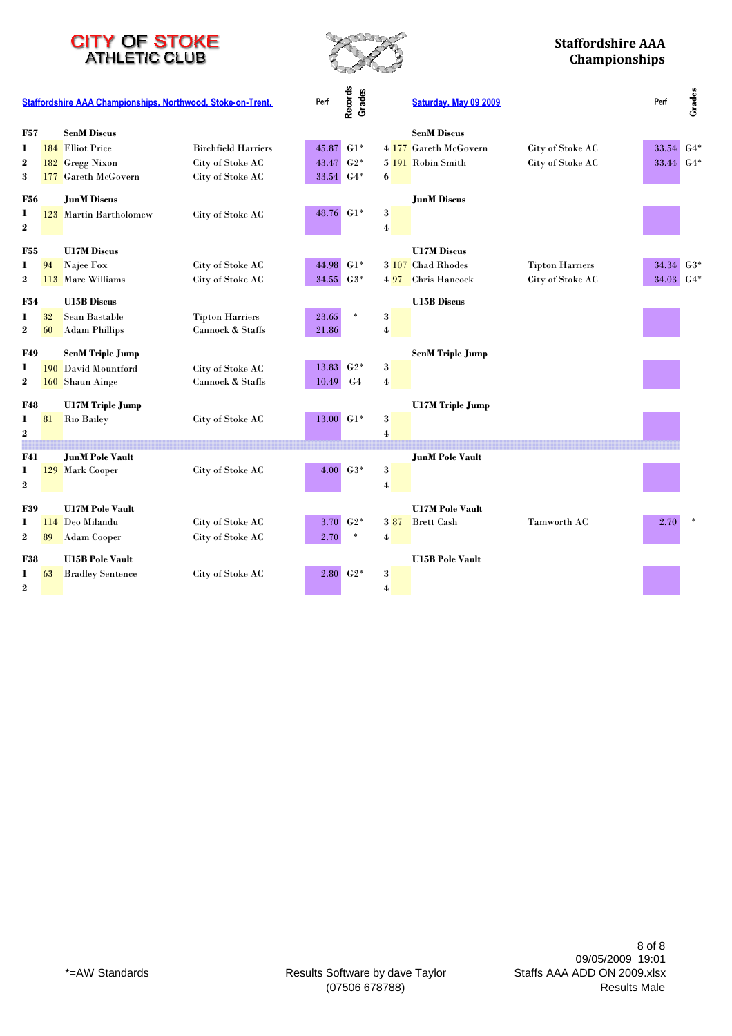



|                       | Staffordshire AAA Championships, Northwood, Stoke-on-Trent. |                         |                            | Perf      | Records<br>Grades |                         | Saturday, May 09 2009   |                        | Perf      | Grades |
|-----------------------|-------------------------------------------------------------|-------------------------|----------------------------|-----------|-------------------|-------------------------|-------------------------|------------------------|-----------|--------|
| <b>F57</b>            |                                                             | <b>SenM Discus</b>      |                            |           |                   |                         | <b>SenM Discus</b>      |                        |           |        |
| 1                     |                                                             | 184 Elliot Price        | <b>Birchfield Harriers</b> | 45.87     | $G1*$             |                         | 4 177 Gareth McGovern   | City of Stoke AC       | 33.54     | $G4*$  |
| $\boldsymbol{2}$      | 182                                                         | <b>Gregg Nixon</b>      | City of Stoke AC           | 43.47     | $G2*$             |                         | 5 191 Robin Smith       | City of Stoke AC       | 33.44 G4* |        |
| 3                     |                                                             | 177 Gareth McGovern     | City of Stoke AC           | 33.54     | $G4*$             | 6                       |                         |                        |           |        |
| <b>F56</b>            |                                                             | <b>JunM Discus</b>      |                            |           |                   |                         | <b>JunM Discus</b>      |                        |           |        |
| 1                     |                                                             | 123 Martin Bartholomew  | City of Stoke AC           | 48.76     | $G1*$             | 3                       |                         |                        |           |        |
| $\boldsymbol{2}$      |                                                             |                         |                            |           |                   | 4                       |                         |                        |           |        |
| <b>F55</b>            |                                                             | <b>U17M Discus</b>      |                            |           |                   |                         | <b>U17M Discus</b>      |                        |           |        |
| 1                     | 94                                                          | Najee Fox               | City of Stoke AC           | 44.98 G1* |                   |                         | 3 107 Chad Rhodes       | <b>Tipton Harriers</b> | 34.34 G3* |        |
| $\boldsymbol{2}$      | 113                                                         | Marc Williams           | City of Stoke AC           | 34.55 G3* |                   | 497                     | Chris Hancock           | City of Stoke AC       | 34.03 G4* |        |
| F54                   |                                                             | <b>U15B Discus</b>      |                            |           |                   |                         | <b>U15B Discus</b>      |                        |           |        |
| 1                     | 32                                                          | Sean Bastable           | <b>Tipton Harriers</b>     | 23.65     | $\ast$            | 3                       |                         |                        |           |        |
| $\bf 2$               | 60                                                          | <b>Adam Phillips</b>    | Cannock & Staffs           | 21.86     |                   | $\overline{\mathbf{4}}$ |                         |                        |           |        |
| <b>F49</b>            |                                                             | <b>SenM Triple Jump</b> |                            |           |                   |                         | <b>SenM Triple Jump</b> |                        |           |        |
| 1                     |                                                             | 190 David Mountford     | City of Stoke AC           | 13.83     | $G2*$             | 3                       |                         |                        |           |        |
| $\boldsymbol{2}$      |                                                             | 160 Shaun Ainge         | Cannock & Staffs           | 10.49     | G <sub>4</sub>    | $\overline{\mathbf{4}}$ |                         |                        |           |        |
| <b>F48</b>            |                                                             | <b>U17M Triple Jump</b> |                            |           |                   |                         | <b>U17M</b> Triple Jump |                        |           |        |
| 1                     | 81                                                          | <b>Rio Bailey</b>       | City of Stoke AC           | 13.00     | $G1*$             | $\bf 3$                 |                         |                        |           |        |
| $\bf{2}$              |                                                             |                         |                            |           |                   | 4                       |                         |                        |           |        |
|                       |                                                             |                         |                            |           |                   |                         |                         |                        |           |        |
| <b>F41</b>            |                                                             | <b>JunM Pole Vault</b>  |                            | 4.00      | $G3*$             |                         | <b>JunM Pole Vault</b>  |                        |           |        |
| 1<br>$\boldsymbol{2}$ |                                                             | 129 Mark Cooper         | City of Stoke AC           |           |                   | 3<br>4                  |                         |                        |           |        |
|                       |                                                             |                         |                            |           |                   |                         |                         |                        |           |        |
| <b>F39</b>            |                                                             | <b>U17M Pole Vault</b>  |                            |           |                   |                         | <b>U17M Pole Vault</b>  |                        |           |        |
| 1                     | 114                                                         | Deo Milandu             | City of Stoke AC           | 3.70      | $G2*$             | 3 87                    | <b>Brett Cash</b>       | Tamworth AC            | 2.70      |        |
| $\boldsymbol{2}$      | 89                                                          | <b>Adam Cooper</b>      | City of Stoke AC           | 2.70      | $\ast$            | 4                       |                         |                        |           |        |
| <b>F38</b>            |                                                             | <b>U15B Pole Vault</b>  |                            |           |                   |                         | <b>U15B Pole Vault</b>  |                        |           |        |
| 1                     | 63                                                          | <b>Bradley Sentence</b> | City of Stoke AC           |           | $2.80\quad G2*$   | 3                       |                         |                        |           |        |
| $\overline{2}$        |                                                             |                         |                            |           |                   | $\overline{\mathbf{4}}$ |                         |                        |           |        |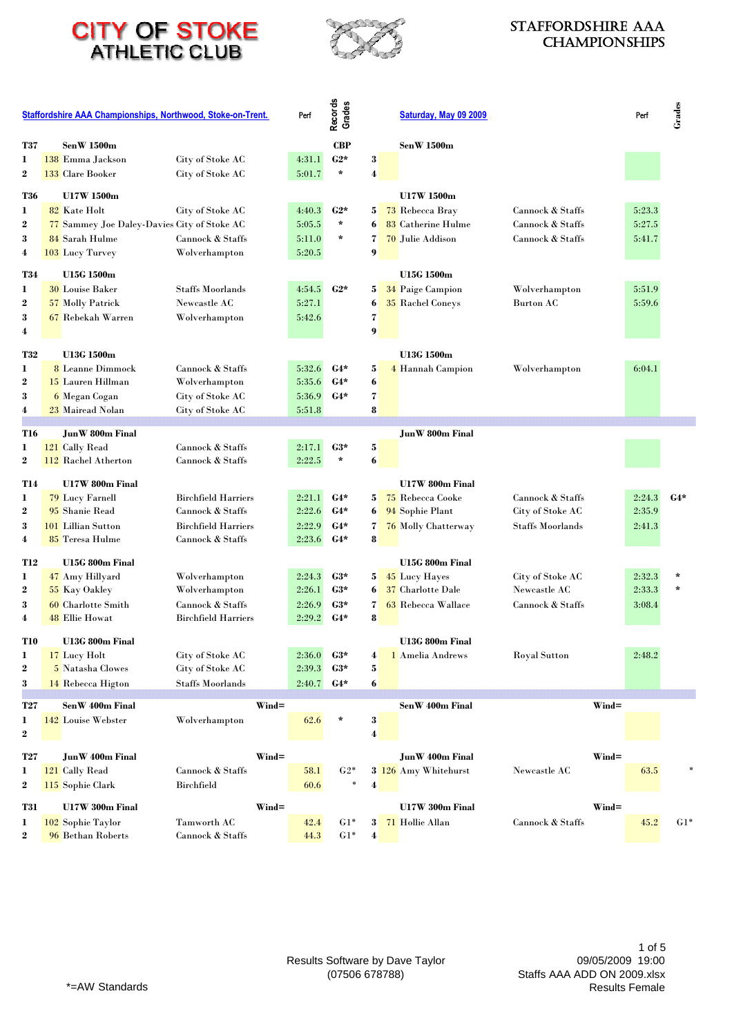



#### Staffordshire AAA **CHAMPIONSHIPS**

|                       | <b>Staffordshire AAA Championships, Northwood, Stoke-on-Trent.</b><br><b>SenW 1500m</b> |                                             | Perf                                           | Records<br>Grades |                | Saturday, May 09 2009 |                                       |                                      | Perf     | Grades           |       |
|-----------------------|-----------------------------------------------------------------------------------------|---------------------------------------------|------------------------------------------------|-------------------|----------------|-----------------------|---------------------------------------|--------------------------------------|----------|------------------|-------|
| <b>T37</b>            |                                                                                         |                                             |                                                |                   | <b>CBP</b>     |                       | <b>SenW 1500m</b>                     |                                      |          |                  |       |
| 1                     |                                                                                         | 138 Emma Jackson                            | City of Stoke AC                               | 4:31.1            | $C2*$          | 3                     |                                       |                                      |          |                  |       |
| $\bf{2}$              |                                                                                         | 133 Clare Booker                            | City of Stoke AC                               | 5:01.7            | $\star$        | 4                     |                                       |                                      |          |                  |       |
| T36                   |                                                                                         | U17W 1500m                                  |                                                |                   |                |                       | U17W 1500m                            |                                      |          |                  |       |
|                       |                                                                                         | 82 Kate Holt                                | City of Stoke AC                               |                   | $C2*$          |                       |                                       | Cannock & Staffs                     |          | 5:23.3           |       |
| 1<br>2                |                                                                                         | 77 Sammey Joe Daley-Davies City of Stoke AC |                                                | 4:40.3<br>5:05.5  | $\star$        | 5<br>6                | 73 Rebecca Bray<br>83 Catherine Hulme | Cannock & Staffs                     |          | 5:27.5           |       |
| 3                     |                                                                                         | 84 Sarah Hulme                              | Cannock & Staffs                               | 5:11.0            | $\star$        | 7                     | 70 Julie Addison                      | Cannock & Staffs                     |          | 5:41.7           |       |
| 4                     |                                                                                         | 103 Lucy Turvey                             | Wolverhampton                                  | 5:20.5            |                | 9                     |                                       |                                      |          |                  |       |
|                       |                                                                                         |                                             |                                                |                   |                |                       |                                       |                                      |          |                  |       |
| <b>T34</b>            |                                                                                         | <b>U15G 1500m</b>                           |                                                |                   |                |                       | <b>U15G 1500m</b>                     |                                      |          |                  |       |
| 1                     |                                                                                         | <b>30 Louise Baker</b>                      | <b>Staffs Moorlands</b>                        | 4:54.5            | $C2*$          | 5                     | <b>34 Paige Campion</b>               | Wolverhampton                        |          | 5:51.9           |       |
| $\boldsymbol{2}$      |                                                                                         | 57 Molly Patrick                            | Newcastle AC                                   | 5:27.1            |                | 6                     | <b>35 Rachel Coneys</b>               | <b>Burton AC</b>                     |          | 5:59.6           |       |
| 3                     |                                                                                         | 67 Rebekah Warren                           | Wolverhampton                                  | 5:42.6            |                | 7                     |                                       |                                      |          |                  |       |
| 4                     |                                                                                         |                                             |                                                |                   |                | 9                     |                                       |                                      |          |                  |       |
|                       |                                                                                         | U13G 1500m                                  |                                                |                   |                |                       |                                       |                                      |          |                  |       |
| T32                   |                                                                                         |                                             |                                                | 5:32.6            |                |                       | U13G 1500m                            |                                      |          |                  |       |
| 1<br>2                |                                                                                         | 8 Leanne Dimmock<br>15 Lauren Hillman       | Cannock & Staffs                               | 5:35.6            | $G4*$<br>$G4*$ | 5<br>6                | 4 Hannah Campion                      | Wolverhampton                        |          | 6:04.1           |       |
|                       |                                                                                         |                                             | Wolverhampton                                  |                   |                |                       |                                       |                                      |          |                  |       |
| 3                     |                                                                                         | 6 Megan Cogan                               | City of Stoke AC                               | 5:36.9<br>5:51.8  | $G4*$          | 7<br>8                |                                       |                                      |          |                  |       |
| 4                     |                                                                                         | 23 Mairead Nolan                            | City of Stoke AC                               |                   |                |                       |                                       |                                      |          |                  |       |
| T16                   |                                                                                         | JunW 800m Final                             |                                                |                   |                |                       | <b>JunW 800m Final</b>                |                                      |          |                  |       |
| 1                     |                                                                                         | 121 Cally Read                              | Cannock & Staffs                               | 2:17.1            | $G3*$          | 5                     |                                       |                                      |          |                  |       |
| $\boldsymbol{2}$      |                                                                                         | 112 Rachel Atherton                         | Cannock & Staffs                               | 2:22.5            | $\star$        | 6                     |                                       |                                      |          |                  |       |
|                       |                                                                                         |                                             |                                                |                   |                |                       |                                       |                                      |          |                  |       |
| T14                   |                                                                                         | U17W 800m Final                             |                                                |                   |                |                       | U17W 800m Final                       |                                      |          |                  |       |
| 1<br>$\boldsymbol{2}$ |                                                                                         | 79 Lucy Farnell<br>95 Shanie Read           | <b>Birchfield Harriers</b><br>Cannock & Staffs | 2:21.1<br>2:22.6  | $G4*$<br>$G4*$ | 5                     | 75 Rebecca Cooke<br>94 Sophie Plant   | Cannock & Staffs<br>City of Stoke AC |          | 2:24.3<br>2:35.9 | $G4*$ |
|                       |                                                                                         |                                             |                                                | 2:22.9            | $G4*$          | 6                     |                                       |                                      |          | 2:41.3           |       |
| 3<br>4                |                                                                                         | 101 Lillian Sutton<br>85 Teresa Hulme       | <b>Birchfield Harriers</b><br>Cannock & Staffs | 2:23.6            | $G4*$          | $\mathbf{7}$<br>8     | 76 Molly Chatterway                   | <b>Staffs Moorlands</b>              |          |                  |       |
|                       |                                                                                         |                                             |                                                |                   |                |                       |                                       |                                      |          |                  |       |
| <b>T12</b>            |                                                                                         | U15G 800m Final                             |                                                |                   |                |                       | U15G 800m Final                       |                                      |          |                  |       |
| 1                     |                                                                                         | 47 Amy Hillyard                             | Wolverhampton                                  | 2:24.3            | $G3*$          | 5                     | 45 Lucy Hayes                         | City of Stoke AC                     |          | 2:32.3           |       |
| $\boldsymbol{2}$      |                                                                                         | 55 Kay Oakley                               | Wolverhampton                                  | 2:26.1            | $G3*$          | 6                     | 37 Charlotte Dale                     | Newcastle AC                         |          | 2:33.3           |       |
| 3                     |                                                                                         | 60 Charlotte Smith                          | Cannock & Staffs                               | 2:26.9            | $G3*$          | 7                     | 63 Rebecca Wallace                    | Cannock & Staffs                     |          | 3:08.4           |       |
| 4                     |                                                                                         | <b>48 Ellie Howat</b>                       | <b>Birchfield Harriers</b>                     | 2:29.2            | $G4*$          | 8                     |                                       |                                      |          |                  |       |
|                       |                                                                                         |                                             |                                                |                   |                |                       |                                       |                                      |          |                  |       |
| T10                   |                                                                                         | U13G 800m Final                             |                                                |                   |                |                       | U13G 800m Final                       |                                      |          |                  |       |
| 1<br>$\bf 2$          |                                                                                         | 17 Lucy Holt                                | City of Stoke AC                               | 2:36.0            | $G3*$<br>$C3*$ | 4<br>5                | 1 Amelia Andrews                      | <b>Royal Sutton</b>                  |          | 2:48.2           |       |
|                       |                                                                                         | 5 Natasha Clowes                            | City of Stoke AC                               | 2:39.3            |                |                       |                                       |                                      |          |                  |       |
| 3                     |                                                                                         | 14 Rebecca Higton                           | Staffs Moorlands                               | 2:40.7            | $G4*$          | 6                     |                                       |                                      |          |                  |       |
| T27                   |                                                                                         | SenW 400m Final                             | $Wind =$                                       |                   |                |                       | SenW 400m Final                       |                                      | $Wind =$ |                  |       |
| 1                     |                                                                                         | 142 Louise Webster                          | Wolverhampton                                  | 62.6              | $\star$        | $\bf{3}$              |                                       |                                      |          |                  |       |
| $\bf 2$               |                                                                                         |                                             |                                                |                   |                | 4                     |                                       |                                      |          |                  |       |
|                       |                                                                                         |                                             |                                                |                   |                |                       |                                       |                                      |          |                  |       |
| T27                   |                                                                                         | JunW 400m Final                             | $Wind =$                                       |                   |                |                       | JunW 400m Final                       |                                      | $Wind =$ |                  |       |
| 1                     |                                                                                         | 121 Cally Read                              | <b>Cannock &amp; Staffs</b>                    | 58.1              | $G2*$          |                       | 3 126 Amy Whitehurst                  | Newcastle AC                         |          | 63.5             |       |
| $\boldsymbol{2}$      |                                                                                         | 115 Sophie Clark                            | <b>Birchfield</b>                              | 60.6              | ×              | 4                     |                                       |                                      |          |                  |       |
| T31                   |                                                                                         | U17W 300m Final                             | $Wind =$                                       |                   |                |                       | U17W 300m Final                       |                                      | $Wind =$ |                  |       |
| 1                     |                                                                                         | 102 Sophie Taylor                           | <b>Tamworth AC</b>                             | 42.4              | $G1*$          | 3 <sup>1</sup>        | 71 Hollie Allan                       | Cannock & Staffs                     |          | 45.2             | $G1*$ |
| $\boldsymbol{2}$      |                                                                                         | 96 Bethan Roberts                           | Cannock & Staffs                               | 44.3              | $G1*$          | 4                     |                                       |                                      |          |                  |       |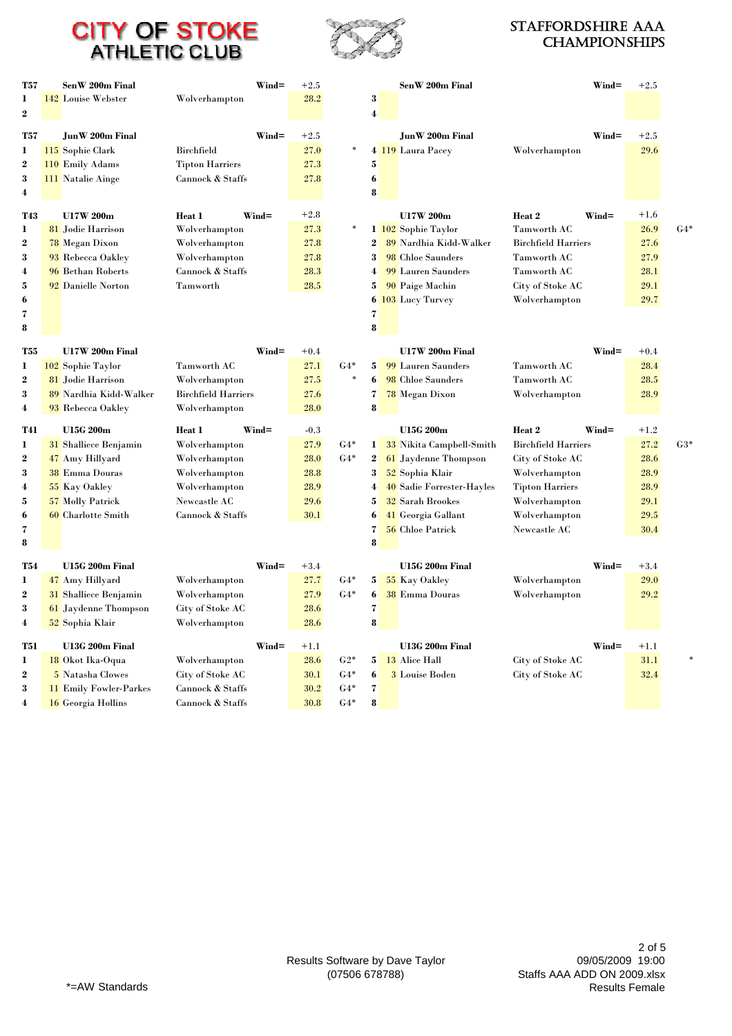



#### Staffordshire AAA **CHAMPIONSHIPS**

| T57              | SenW 200m Final               |                             | Wind=    | $+2.5$ |                 |                         | SenW 200m Final                 |                            | $Wind =$ | $+2.5$ |       |
|------------------|-------------------------------|-----------------------------|----------|--------|-----------------|-------------------------|---------------------------------|----------------------------|----------|--------|-------|
| $\mathbf{1}$     | 142 Louise Webster            | Wolverhampton               |          | 28.2   |                 | 3                       |                                 |                            |          |        |       |
| $\bf{2}$         |                               |                             |          |        |                 | $\boldsymbol{4}$        |                                 |                            |          |        |       |
|                  |                               |                             |          |        |                 |                         |                                 |                            |          |        |       |
| T57              | JunW 200m Final               |                             | $Wind =$ | $+2.5$ | *               |                         | JunW 200m Final                 |                            | $Wind =$ | $+2.5$ |       |
| 1                | 115 Sophie Clark              | <b>Birchfield</b>           |          | 27.0   |                 |                         | 4 119 Laura Pacey               | Wolverhampton              |          | 29.6   |       |
| $\overline{2}$   | 110 Emily Adams               | <b>Tipton Harriers</b>      |          | 27.3   |                 | 5                       |                                 |                            |          |        |       |
| 3                | 111 Natalie Ainge             | Cannock & Staffs            |          | 27.8   |                 | 6                       |                                 |                            |          |        |       |
| 4                |                               |                             |          |        |                 | 8                       |                                 |                            |          |        |       |
| T43              | U17W 200m                     | Heat 1                      | $Wind =$ | $+2.8$ |                 |                         | U17W 200m                       | Heat 2                     | $Wind =$ | $+1.6$ |       |
| 1                | 81 Jodie Harrison             | Wolverhampton               |          | 27.3   | *               |                         | 1 102 Sophie Taylor             | <b>Tamworth AC</b>         |          | 26.9   | $G4*$ |
| $\overline{2}$   | 78 Megan Dixon                | Wolverhampton               |          | 27.8   |                 | $\bf{2}$                | 89 Nardhia Kidd-Walker          | <b>Birchfield Harriers</b> |          | 27.6   |       |
| 3                | 93 Rebecca Oakley             | Wolverhampton               |          | 27.8   |                 | 3                       | 98 Chloe Saunders               | <b>Tamworth AC</b>         |          | 27.9   |       |
| 4                | 96 Bethan Roberts             | Cannock & Staffs            |          | 28.3   |                 | 4                       | 99 Lauren Saunders              | <b>Tamworth AC</b>         |          | 28.1   |       |
| 5                | 92 Danielle Norton            | Tamworth                    |          | 28.5   |                 | 5                       | 90 Paige Machin                 | City of Stoke AC           |          | 29.1   |       |
| 6                |                               |                             |          |        |                 |                         | 6 103 Lucy Turvey               | Wolverhampton              |          | 29.7   |       |
| 7                |                               |                             |          |        |                 | 7                       |                                 |                            |          |        |       |
| 8                |                               |                             |          |        |                 | 8                       |                                 |                            |          |        |       |
|                  |                               |                             |          |        |                 |                         |                                 |                            |          |        |       |
| <b>T55</b>       | U17W 200m Final               |                             | $Wind =$ | $+0.4$ |                 |                         | U17W 200m Final                 |                            | $Wind =$ | $+0.4$ |       |
| 1                | 102 Sophie Taylor             | Tamworth AC                 |          | 27.1   | $G4*$<br>$\ast$ | 5                       | 99 Lauren Saunders              | Tamworth AC                |          | 28.4   |       |
| $\overline{2}$   | 81 Jodie Harrison             | Wolverhampton               |          | 27.5   |                 | 6                       | 98 Chloe Saunders               | <b>Tamworth AC</b>         |          | 28.5   |       |
| 3                | 89 Nardhia Kidd-Walker        | <b>Birchfield Harriers</b>  |          | 27.6   |                 | 7                       | 78 Megan Dixon                  | Wolverhampton              |          | 28.9   |       |
| 4                | 93 Rebecca Oakley             | Wolverhampton               |          | 28.0   |                 | 8                       |                                 |                            |          |        |       |
| T41              | <b>U15G 200m</b>              | Heat 1                      | Wind=    | $-0.3$ |                 |                         | <b>U15G 200m</b>                | Heat 2                     | Wind=    | $+1.2$ |       |
| 1                | <b>31</b> Shalliece Benjamin  | Wolverhampton               |          | 27.9   | $G4*$           | $\mathbf{I}$            | <b>33</b> Nikita Campbell-Smith | <b>Birchfield Harriers</b> |          | 27.2   | $G3*$ |
| 2                | 47 Amy Hillyard               | Wolverhampton               |          | 28.0   | $G4*$           | $\boldsymbol{2}$        | 61 Jaydenne Thompson            | City of Stoke AC           |          | 28.6   |       |
| 3                | <b>38</b> Emma Douras         | Wolverhampton               |          | 28.8   |                 | 3                       | 52 Sophia Klair                 | Wolverhampton              |          | 28.9   |       |
| 4                | 55 Kay Oakley                 | Wolverhampton               |          | 28.9   |                 | 4                       | 40 Sadie Forrester-Hayles       | <b>Tipton Harriers</b>     |          | 28.9   |       |
| 5                | 57 Molly Patrick              | <b>Newcastle AC</b>         |          | 29.6   |                 | 5                       | <b>32 Sarah Brookes</b>         | Wolverhampton              |          | 29.1   |       |
| 6                | 60 Charlotte Smith            | <b>Cannock &amp; Staffs</b> |          | 30.1   |                 | 6                       | 41 Georgia Gallant              | Wolverhampton              |          | 29.5   |       |
| 7                |                               |                             |          |        |                 | $\overline{\mathbf{z}}$ | 56 Chloe Patrick                | Newcastle AC               |          | 30.4   |       |
| 8                |                               |                             |          |        |                 | 8                       |                                 |                            |          |        |       |
| <b>T54</b>       | U15G 200m Final               |                             | Wind=    | $+3.4$ |                 |                         | U15G 200m Final                 |                            | $Wind =$ | $+3.4$ |       |
| 1                | 47 Amy Hillyard               | Wolverhampton               |          | 27.7   | $G4*$           | 5                       | 55 Kay Oakley                   | Wolverhampton              |          | 29.0   |       |
| $\boldsymbol{2}$ | <b>31</b> Shalliece Benjamin  | Wolverhampton               |          | 27.9   | $G4*$           | 6                       | <b>38 Emma Douras</b>           | Wolverhampton              |          | 29.2   |       |
| 3                | 61 Jaydenne Thompson          | City of Stoke AC            |          | 28.6   |                 | 7                       |                                 |                            |          |        |       |
| 4                | 52 Sophia Klair               |                             |          | 28.6   |                 | 8                       |                                 |                            |          |        |       |
|                  |                               | Wolverhampton               |          |        |                 |                         |                                 |                            |          |        |       |
| T51              | U13G 200m Final               |                             | $Wind =$ | $+1.1$ |                 |                         | U13G 200m Final                 |                            | $Wind =$ | $+1.1$ |       |
| 1                | 18 Okot Ika-Oqua              | Wolverhampton               |          | 28.6   | $G2*$           | 5                       | 13 Alice Hall                   | City of Stoke AC           |          | 31.1   |       |
| $\overline{2}$   | 5 Natasha Clowes              | City of Stoke AC            |          | 30.1   | $G4*$           | 6                       | 3 Louise Boden                  | City of Stoke AC           |          | 32.4   |       |
|                  |                               |                             |          |        |                 |                         |                                 |                            |          |        |       |
| 3                | <b>11 Emily Fowler-Parkes</b> | Cannock & Staffs            |          | 30.2   | $G4*$           | 7                       |                                 |                            |          |        |       |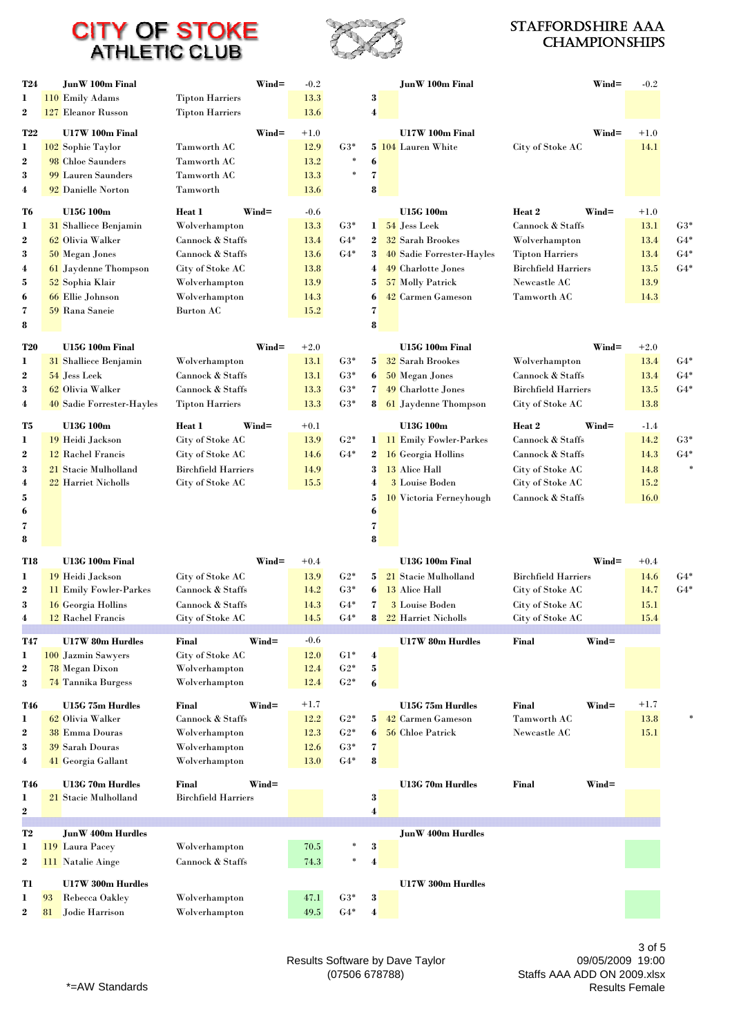

#### Staffordshire AAA **CHAMPIONSHIPS**

| T24                     |    | JunW 100m Final                           | $Wind =$                                       | $-0.2$       |                |                  | <b>JunW</b> 100m Final                     |                                                | $Wind =$ | $-0.2$       |                     |
|-------------------------|----|-------------------------------------------|------------------------------------------------|--------------|----------------|------------------|--------------------------------------------|------------------------------------------------|----------|--------------|---------------------|
| 1                       |    | 110 Emily Adams                           | <b>Tipton Harriers</b>                         | 13.3         |                | 3                |                                            |                                                |          |              |                     |
| $\boldsymbol{2}$        |    | 127 Eleanor Russon                        | <b>Tipton Harriers</b>                         | 13.6         |                | 4                |                                            |                                                |          |              |                     |
| <b>T22</b>              |    | U17W 100m Final                           | $Wind =$                                       | $+1.0$       |                |                  | U17W 100m Final                            |                                                | $Wind =$ | $+1.0$       |                     |
| 1                       |    | 102 Sophie Taylor                         | Tamworth AC                                    | 12.9         | $G3*$          |                  | 5 104 Lauren White                         | City of Stoke AC                               |          | 14.1         |                     |
| $\boldsymbol{2}$        |    | 98 Chloe Saunders                         | Tamworth AC                                    | 13.2         | ×              | 6                |                                            |                                                |          |              |                     |
| 3                       |    | 99 Lauren Saunders                        | Tamworth AC                                    | 13.3         | $\ast$         | 7                |                                            |                                                |          |              |                     |
| 4                       |    | 92 Danielle Norton                        | Tamworth                                       | 13.6         |                | 8                |                                            |                                                |          |              |                     |
| T6                      |    | <b>U15G 100m</b>                          | Wind=<br>Heat 1                                | $-0.6$       |                |                  | <b>U15G 100m</b>                           | Heat 2<br>$Wind =$                             |          | $+1.0$       |                     |
| 1                       |    | <b>31</b> Shalliece Benjamin              | Wolverhampton                                  | 13.3         | $G3*$          | 1                | 54 Jess Leek                               | Cannock & Staffs                               |          | 13.1         | $G3*$               |
| $\boldsymbol{2}$        |    | 62 Olivia Walker                          | Cannock & Staffs                               | 13.4         | $G4*$          | $\mathbf{2}$     | <b>32 Sarah Brookes</b>                    | Wolverhampton                                  |          | 13.4         | $G4*$               |
| 3                       |    | 50 Megan Jones                            | Cannock & Staffs                               | 13.6         | $G4*$          | $\mathbf{3}$     | 40 Sadie Forrester-Hayles                  | <b>Tipton Harriers</b>                         |          | 13.4         | $G4*$               |
| $\boldsymbol{4}$        |    | 61 Jaydenne Thompson                      | City of Stoke AC                               | 13.8         |                | 4                | 49 Charlotte Jones                         | <b>Birchfield Harriers</b>                     |          | 13.5         | $G4*$               |
| 5                       |    | 52 Sophia Klair                           | Wolverhampton                                  | 13.9         |                | 5                | 57 Molly Patrick                           | Newcastle AC                                   |          | 13.9         |                     |
| 6<br>7                  |    | 66 Ellie Johnson<br>59 Rana Saneie        | Wolverhampton<br>Burton AC                     | 14.3<br>15.2 |                | 6<br>7           | 42 Carmen Gameson                          | Tamworth AC                                    |          | 14.3         |                     |
| 8                       |    |                                           |                                                |              |                | 8                |                                            |                                                |          |              |                     |
|                         |    |                                           |                                                |              |                |                  |                                            |                                                |          |              |                     |
| <b>T20</b>              |    | U15G 100m Final                           | $Wind =$                                       | $+2.0$       |                |                  | U15G 100m Final                            |                                                | $Wind =$ | $+2.0$       |                     |
| 1                       |    | 31 Shalliece Benjamin                     | Wolverhampton                                  | 13.1         | $G3*$          | 5 <sup>1</sup>   | <b>32 Sarah Brookes</b>                    | Wolverhampton                                  |          | 13.4         | $G4*$               |
| $\boldsymbol{2}$<br>3   |    | 54 Jess Leek<br>62 Olivia Walker          | Cannock & Staffs<br>Cannock & Staffs           | 13.1<br>13.3 | $G3*$<br>$G3*$ | 6<br>7           | 50 Megan Jones<br>49 Charlotte Jones       | Cannock & Staffs<br><b>Birchfield Harriers</b> |          | 13.4<br>13.5 | $G4*$<br>$G4*$      |
| 4                       |    | 40 Sadie Forrester-Hayles                 | <b>Tipton Harriers</b>                         | 13.3         | $G3*$          | 8                | 61 Jaydenne Thompson                       | City of Stoke AC                               |          | 13.8         |                     |
|                         |    |                                           |                                                |              |                |                  |                                            |                                                |          |              |                     |
| T5                      |    | U13G 100m                                 | Heat 1<br>Wind=                                | $+0.1$       |                |                  | U13G 100m                                  | Heat 2<br>$Wind =$                             |          | $-1.4$       |                     |
| 1<br>$\boldsymbol{2}$   |    | 19 Heidi Jackson                          | City of Stoke AC                               | 13.9         | $G2*$<br>$G4*$ |                  | 1 11 Emily Fowler-Parkes                   | Cannock & Staffs                               |          | 14.2         | $G3*$<br>$G4*$      |
| 3                       |    | 12 Rachel Francis<br>21 Stacie Mulholland | City of Stoke AC<br><b>Birchfield Harriers</b> | 14.6<br>14.9 |                | $\bf{2}$<br>3    | <b>16 Georgia Hollins</b><br>13 Alice Hall | Cannock & Staffs<br>City of Stoke AC           |          | 14.3<br>14.8 | $\boldsymbol{\ast}$ |
| $\boldsymbol{4}$        |    | 22 Harriet Nicholls                       | City of Stoke AC                               | 15.5         |                | 4                | 3 Louise Boden                             | City of Stoke AC                               |          | 15.2         |                     |
| 5                       |    |                                           |                                                |              |                | 5                | 10 Victoria Ferneyhough                    | Cannock & Staffs                               |          | 16.0         |                     |
| 6                       |    |                                           |                                                |              |                | 6                |                                            |                                                |          |              |                     |
| 7                       |    |                                           |                                                |              |                | 7                |                                            |                                                |          |              |                     |
| 8                       |    |                                           |                                                |              |                | 8                |                                            |                                                |          |              |                     |
| T18                     |    | U13G 100m Final                           | $Wind =$                                       | $+0.4$       |                |                  | U13G 100m Final                            |                                                | $Wind =$ | $+0.4$       |                     |
| 1                       |    | 19 Heidi Jackson                          | City of Stoke AC                               | 13.9         | $G2*$          | 5                | 21 Stacie Mulholland                       | <b>Birchfield Harriers</b>                     |          | 14.6         | $G4*$               |
| $\boldsymbol{2}$        |    | <b>11 Emily Fowler-Parkes</b>             | Cannock & Staffs                               | 14.2         | $G3*$          | 6                | 13 Alice Hall                              | City of Stoke AC                               |          | 14.7         | $G4*$               |
| 3                       |    | <b>16</b> Georgia Hollins                 | Cannock & Staffs                               | 14.3         | $G4*$          | 7                | 3 Louise Boden                             | City of Stoke AC                               |          | 15.1         |                     |
| 4                       |    | 12 Rachel Francis                         | City of Stoke AC                               | 14.5         | $G4*$          | 8                | <b>22 Harriet Nicholls</b>                 | City of Stoke AC                               |          | 15.4         |                     |
| T47                     |    | <b>U17W 80m Hurdles</b>                   | $Wind =$<br>Final                              | $-0.6$       |                |                  | U17W 80m Hurdles                           | $Wind =$<br>Final                              |          |              |                     |
| 1                       |    | 100 Jazmin Sawyers                        | City of Stoke AC                               | 12.0         | $G1*$          | $\boldsymbol{4}$ |                                            |                                                |          |              |                     |
| $\boldsymbol{2}$        |    | 78 Megan Dixon                            | Wolverhampton                                  | 12.4         | $G2*$          | 5                |                                            |                                                |          |              |                     |
| 3                       |    | 74 Tannika Burgess                        | Wolverhampton                                  | 12.4         | $G2*$          | 6                |                                            |                                                |          |              |                     |
| T46                     |    | U15G 75m Hurdles                          | Final<br>$Wind =$                              | $+1.7$       |                |                  | U15G 75m Hurdles                           | Final<br>$Wind =$                              |          | $+1.7$       |                     |
| 1                       |    | 62 Olivia Walker                          | Cannock & Staffs                               | 12.2         | $G2*$          | 5                | 42 Carmen Gameson                          | Tamworth AC                                    |          | 13.8         | $\ast$              |
| $\boldsymbol{2}$        |    | <b>38</b> Emma Douras                     | Wolverhampton                                  | $12.3\,$     | $G2*$          | 6                | 56 Chloe Patrick                           | Newcastle AC                                   |          | 15.1         |                     |
| 3                       |    | <b>39 Sarah Douras</b>                    | Wolverhampton                                  | 12.6<br>13.0 | $G3*$<br>$G4*$ | 7<br>8           |                                            |                                                |          |              |                     |
| $\overline{\mathbf{4}}$ |    | 41 Georgia Gallant                        | Wolverhampton                                  |              |                |                  |                                            |                                                |          |              |                     |
| T46                     |    | <b>U13G 70m Hurdles</b>                   | Final<br>$Wind =$                              |              |                |                  | U13G 70m Hurdles                           | Wind=<br>Final                                 |          |              |                     |
| 1                       |    | 21 Stacie Mulholland                      | <b>Birchfield Harriers</b>                     |              |                | 3                |                                            |                                                |          |              |                     |
| $\boldsymbol{2}$        |    |                                           |                                                |              |                | 4                |                                            |                                                |          |              |                     |
| T <sub>2</sub>          |    | <b>JunW 400m Hurdles</b>                  |                                                |              |                |                  | <b>JunW 400m Hurdles</b>                   |                                                |          |              |                     |
| 1                       |    | 119 Laura Pacey                           | Wolverhampton                                  | 70.5         |                | 3                |                                            |                                                |          |              |                     |
| $\boldsymbol{2}$        |    | <b>111</b> Natalie Ainge                  | Cannock & Staffs                               | 74.3         | ×              | 4                |                                            |                                                |          |              |                     |
| Tl                      |    | U17W 300m Hurdles                         |                                                |              |                |                  | U17W 300m Hurdles                          |                                                |          |              |                     |
| 1                       | 93 | Rebecca Oakley                            | Wolverhampton                                  | 47.1         | $G3*$          | 3                |                                            |                                                |          |              |                     |
| $\boldsymbol{2}$        | 81 | Jodie Harrison                            | Wolverhampton                                  | 49.5         | $G4*$          | 4                |                                            |                                                |          |              |                     |

Results Software by Dave Taylor (07506 678788)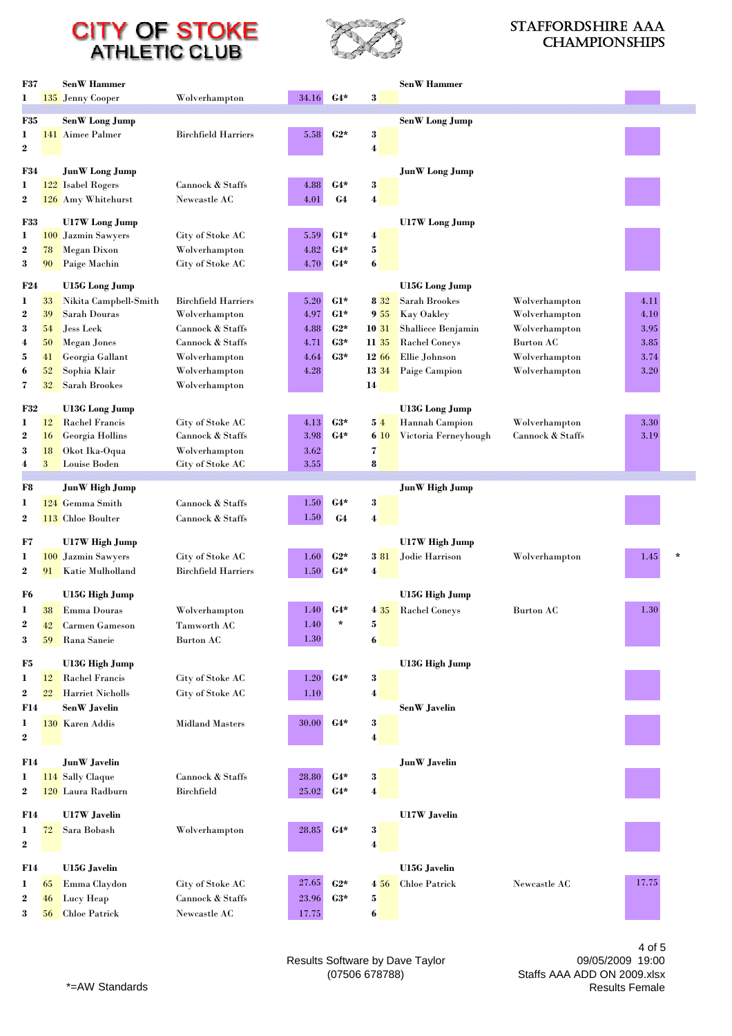

#### Staffordshire AAA **CHAMPIONSHIPS**

| <b>F37</b>            |            | <b>SenW</b> Hammer      |                            |       |       |                 | <b>SenW</b> Hammer    |                  |                 |
|-----------------------|------------|-------------------------|----------------------------|-------|-------|-----------------|-----------------------|------------------|-----------------|
| 1                     |            | 135 Jenny Cooper        | Wolverhampton              | 34.16 | $G4*$ | 3               |                       |                  |                 |
|                       |            |                         |                            |       |       |                 |                       |                  |                 |
| <b>F35</b>            |            | <b>SenW</b> Long Jump   | <b>Birchfield Harriers</b> |       | $C2*$ |                 | <b>SenW</b> Long Jump |                  |                 |
| 1<br>$\boldsymbol{2}$ |            | 141 Aimee Palmer        |                            | 5.58  |       | 3<br>4          |                       |                  |                 |
|                       |            |                         |                            |       |       |                 |                       |                  |                 |
| F34                   |            | <b>JunW</b> Long Jump   |                            |       |       |                 | <b>JunW</b> Long Jump |                  |                 |
| 1                     |            | 122 Isabel Rogers       | Cannock & Staffs           | 4.88  | $G4*$ | 3               |                       |                  |                 |
| $\boldsymbol{2}$      |            | 126 Amy Whitehurst      | Newcastle AC               | 4.01  | G4    | 4               |                       |                  |                 |
| <b>F33</b>            |            | U17W Long Jump          |                            |       |       |                 | <b>U17W</b> Long Jump |                  |                 |
| 1                     |            | 100 Jazmin Sawyers      | City of Stoke AC           | 5.59  | $G1*$ | 4               |                       |                  |                 |
| $\boldsymbol{2}$      | 78         | <b>Megan Dixon</b>      | Wolverhampton              | 4.82  | $G4*$ | $\bf{5}$        |                       |                  |                 |
| 3                     | 90         | Paige Machin            | City of Stoke AC           | 4.70  | $G4*$ | 6               |                       |                  |                 |
| F24                   |            | U15G Long Jump          |                            |       |       |                 | <b>U15G</b> Long Jump |                  |                 |
| 1                     | 33         | Nikita Campbell-Smith   | <b>Birchfield Harriers</b> | 5.20  | $G1*$ | 8 3 2           | Sarah Brookes         | Wolverhampton    | 4.11            |
| $\boldsymbol{2}$      | 39         | Sarah Douras            | Wolverhampton              | 4.97  | $G1*$ | 9 <sub>55</sub> | Kay Oakley            | Wolverhampton    | 4.10            |
| 3                     | 54         | <b>Jess Leek</b>        | Cannock & Staffs           | 4.88  | $C2*$ | <b>10 31</b>    | Shalliece Benjamin    | Wolverhampton    | 3.95            |
| 4                     | 50         | <b>Megan Jones</b>      | Cannock & Staffs           | 4.71  | $C3*$ | 11 35           | <b>Rachel Coneys</b>  | Burton AC        | 3.85            |
| 5                     | 41         | Georgia Gallant         | Wolverhampton              | 4.64  | $C3*$ | 12 66           | Ellie Johnson         | Wolverhampton    | 3.74            |
| $\mathbf{6}$          | 52<br>32   | Sophia Klair            | Wolverhampton              | 4.28  |       | <b>13 34</b>    | <b>Paige Campion</b>  | Wolverhampton    | 3.20            |
| 7                     |            | Sarah Brookes           | Wolverhampton              |       |       | 14              |                       |                  |                 |
| <b>F32</b>            |            | <b>U13G</b> Long Jump   |                            |       |       |                 | <b>U13G</b> Long Jump |                  |                 |
| 1                     | 12         | <b>Rachel Francis</b>   | City of Stoke AC           | 4.13  | $G3*$ | 54              | <b>Hannah Campion</b> | Wolverhampton    | 3.30            |
| $\boldsymbol{2}$      | 16         | Georgia Hollins         | Cannock & Staffs           | 3.98  | $G4*$ | 6 10            | Victoria Ferneyhough  | Cannock & Staffs | 3.19            |
| 3                     | 18         | Okot Ika-Oqua           | Wolverhampton              | 3.62  |       | 7               |                       |                  |                 |
| $\overline{4}$        | 3          | Louise Boden            | City of Stoke AC           | 3.55  |       | 8               |                       |                  |                 |
| F8                    |            | JunW High Jump          |                            |       |       |                 | <b>JunW</b> High Jump |                  |                 |
| $\mathbf{I}$          |            | 124 Gemma Smith         | Cannock & Staffs           | 1.50  | $G4*$ | $\bf{3}$        |                       |                  |                 |
| $\boldsymbol{2}$      |            | 113 Chloe Boulter       | Cannock & Staffs           | 1.50  | G4    | 4               |                       |                  |                 |
| F7                    |            | U17W High Jump          |                            |       |       |                 | U17W High Jump        |                  |                 |
| $\bf{I}$              | <b>100</b> | Jazmin Sawyers          | City of Stoke AC           | 1.60  | $C2*$ | 3 81            | Jodie Harrison        | Wolverhampton    | 1.45<br>$\star$ |
| $\boldsymbol{2}$      | 91         | Katie Mulholland        | <b>Birchfield Harriers</b> | 1.50  | $G4*$ | 4               |                       |                  |                 |
|                       |            |                         |                            |       |       |                 |                       |                  |                 |
| F6                    |            | U15G High Jump          |                            |       |       |                 | U15G High Jump        |                  |                 |
| 1                     | 38         | Emma Douras             | Wolverhampton              | 1.40  | $G4*$ |                 | 4 35 Rachel Coneys    | <b>Burton AC</b> | 1.30            |
| 2                     | 42         | <b>Carmen Gameson</b>   | Tamworth AC                | 1.40  |       | 5               |                       |                  |                 |
| 3                     | 59         | Rana Saneie             | <b>Burton AC</b>           | 1.30  |       | 6               |                       |                  |                 |
| F5                    |            | U13G High Jump          |                            |       |       |                 | <b>U13G High Jump</b> |                  |                 |
| 1                     | 12         | <b>Rachel Francis</b>   | City of Stoke AC           | 1.20  | $G4*$ | 3               |                       |                  |                 |
| $\boldsymbol{2}$      | 22         | <b>Harriet Nicholls</b> | City of Stoke AC           | 1.10  |       | 4               |                       |                  |                 |
| F14                   |            | SenW Javelin            |                            |       |       |                 | SenW Javelin          |                  |                 |
| 1                     |            | 130 Karen Addis         | <b>Midland Masters</b>     | 30.00 | $G4*$ | 3               |                       |                  |                 |
| $\boldsymbol{2}$      |            |                         |                            |       |       | 4               |                       |                  |                 |
| F14                   |            | <b>JunW</b> Javelin     |                            |       |       |                 | <b>JunW</b> Javelin   |                  |                 |
| 1                     |            | 114 Sally Claque        | Cannock & Staffs           | 28.80 | $G4*$ | 3               |                       |                  |                 |
| $\boldsymbol{2}$      |            | 120 Laura Radburn       | <b>Birchfield</b>          | 25.02 | $G4*$ | 4               |                       |                  |                 |
|                       |            |                         |                            |       |       |                 |                       |                  |                 |
| F14                   |            | <b>U17W</b> Javelin     |                            |       |       |                 | <b>U17W</b> Javelin   |                  |                 |
| 1                     | 72         | Sara Bobash             | Wolverhampton              | 28.85 | $G4*$ | 3               |                       |                  |                 |
| $\boldsymbol{2}$      |            |                         |                            |       |       | 4               |                       |                  |                 |
| F14                   |            | <b>U15G</b> Javelin     |                            |       |       |                 | <b>U15G</b> Javelin   |                  |                 |
| 1                     | 65         | Emma Claydon            | City of Stoke AC           | 27.65 | $C2*$ | 4 5 6           | <b>Chloe Patrick</b>  | Newcastle AC     | 17.75           |
| $\boldsymbol{2}$      |            | Lucy Heap               | Cannock & Staffs           | 23.96 | $C3*$ | 5               |                       |                  |                 |
|                       | 46         |                         |                            |       |       |                 |                       |                  |                 |

09/05/2009 19:00 Staffs AAA ADD ON 2009.xlsx Results Female

4 of 5

Results Software by Dave Taylor (07506 678788)